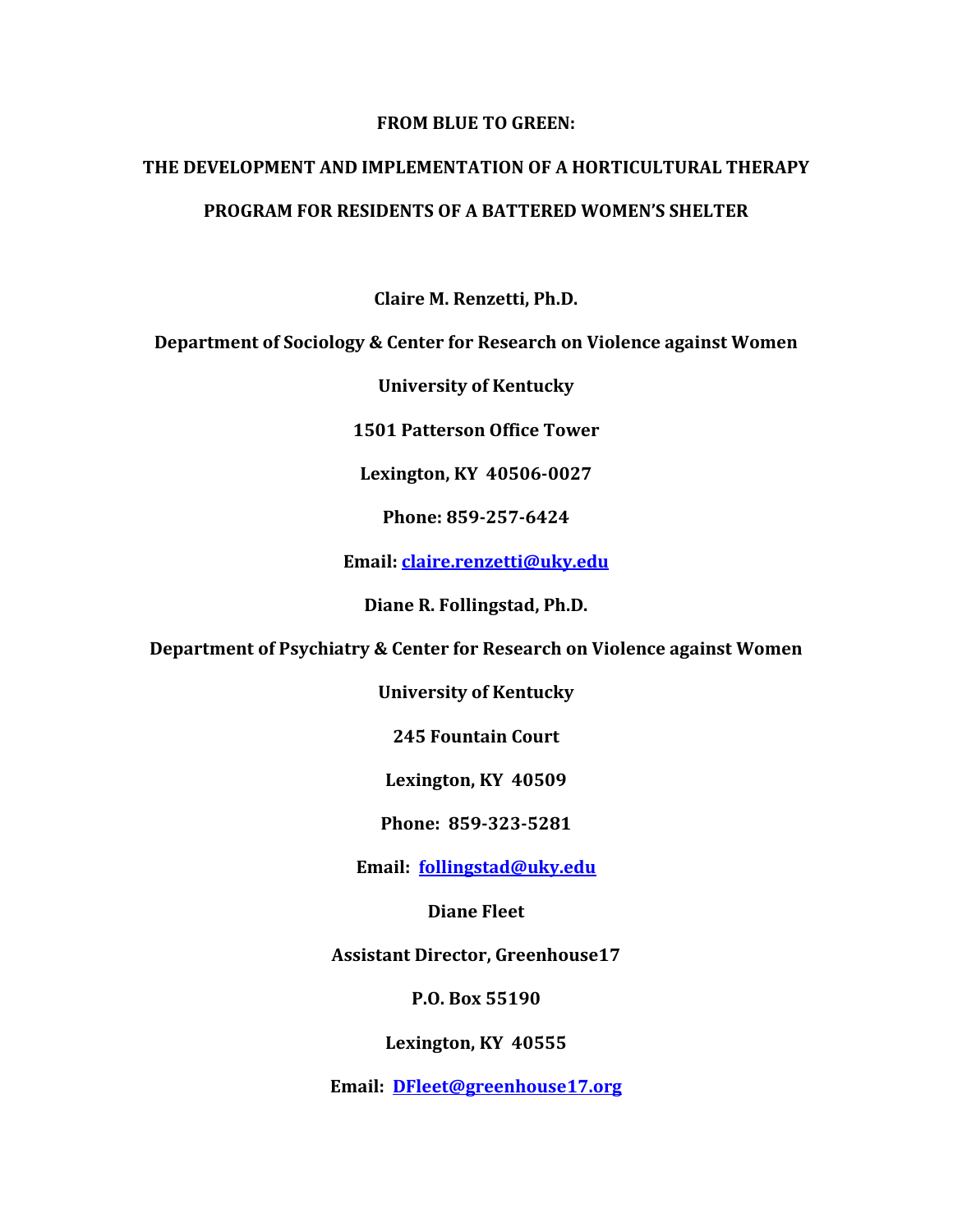## **FROM BLUE TO GREEN:**

# **THE DEVELOPMENT AND IMPLEMENTATION OF A HORTICULTURAL THERAPY PROGRAM FOR RESIDENTS OF A BATTERED WOMEN'S SHELTER**

**Claire M. Renzetti, Ph.D.**

## **Department of Sociology & Center for Research on Violence against Women**

**University of Kentucky**

**1501 Patterson Office Tower**

**Lexington, KY 40506-0027**

**Phone: 859-257-6424**

**Email: [claire.renzetti@uky.edu](mailto:claire.renzetti@uky.edu)**

**Diane R. Follingstad, Ph.D.**

**Department of Psychiatry & Center for Research on Violence against Women**

**University of Kentucky**

**245 Fountain Court**

**Lexington, KY 40509**

**Phone: 859-323-5281**

**Email: [follingstad@uky.edu](mailto:follingstad@uky.edu)**

**Diane Fleet**

**Assistant Director, Greenhouse17**

**P.O. Box 55190**

**Lexington, KY 40555**

**Email: [DFleet@greenhouse17.org](mailto:DFleet@greenhouse17.org)**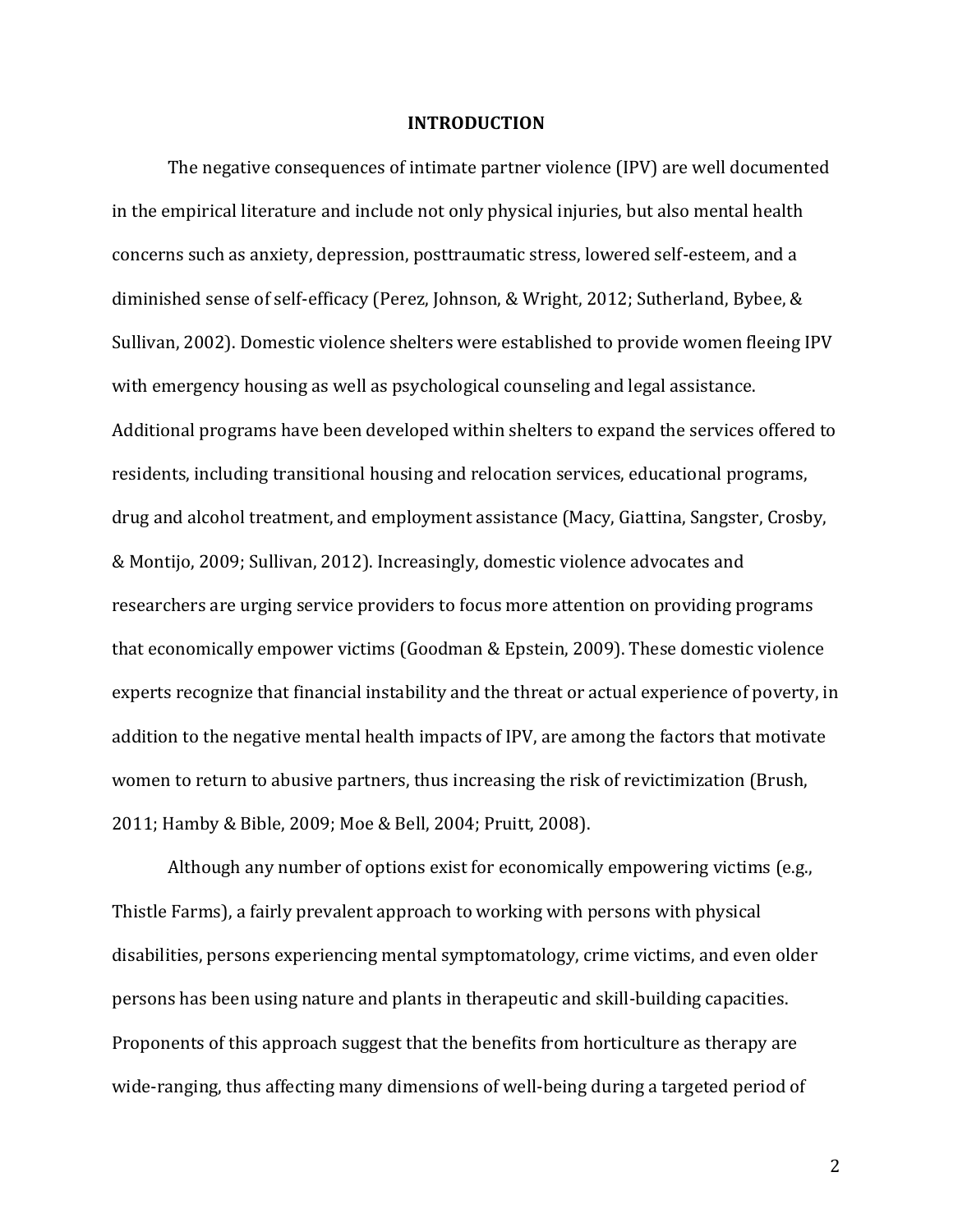## **INTRODUCTION**

The negative consequences of intimate partner violence (IPV) are well documented in the empirical literature and include not only physical injuries, but also mental health concerns such as anxiety, depression, posttraumatic stress, lowered self-esteem, and a diminished sense of self-efficacy (Perez, Johnson, & Wright, 2012; Sutherland, Bybee, & Sullivan, 2002). Domestic violence shelters were established to provide women fleeing IPV with emergency housing as well as psychological counseling and legal assistance. Additional programs have been developed within shelters to expand the services offered to residents, including transitional housing and relocation services, educational programs, drug and alcohol treatment, and employment assistance (Macy, Giattina, Sangster, Crosby, & Montijo, 2009; Sullivan, 2012). Increasingly, domestic violence advocates and researchers are urging service providers to focus more attention on providing programs that economically empower victims (Goodman & Epstein, 2009). These domestic violence experts recognize that financial instability and the threat or actual experience of poverty, in addition to the negative mental health impacts of IPV, are among the factors that motivate women to return to abusive partners, thus increasing the risk of revictimization (Brush, 2011; Hamby & Bible, 2009; Moe & Bell, 2004; Pruitt, 2008).

Although any number of options exist for economically empowering victims (e.g., Thistle Farms), a fairly prevalent approach to working with persons with physical disabilities, persons experiencing mental symptomatology, crime victims, and even older persons has been using nature and plants in therapeutic and skill-building capacities. Proponents of this approach suggest that the benefits from horticulture as therapy are wide-ranging, thus affecting many dimensions of well-being during a targeted period of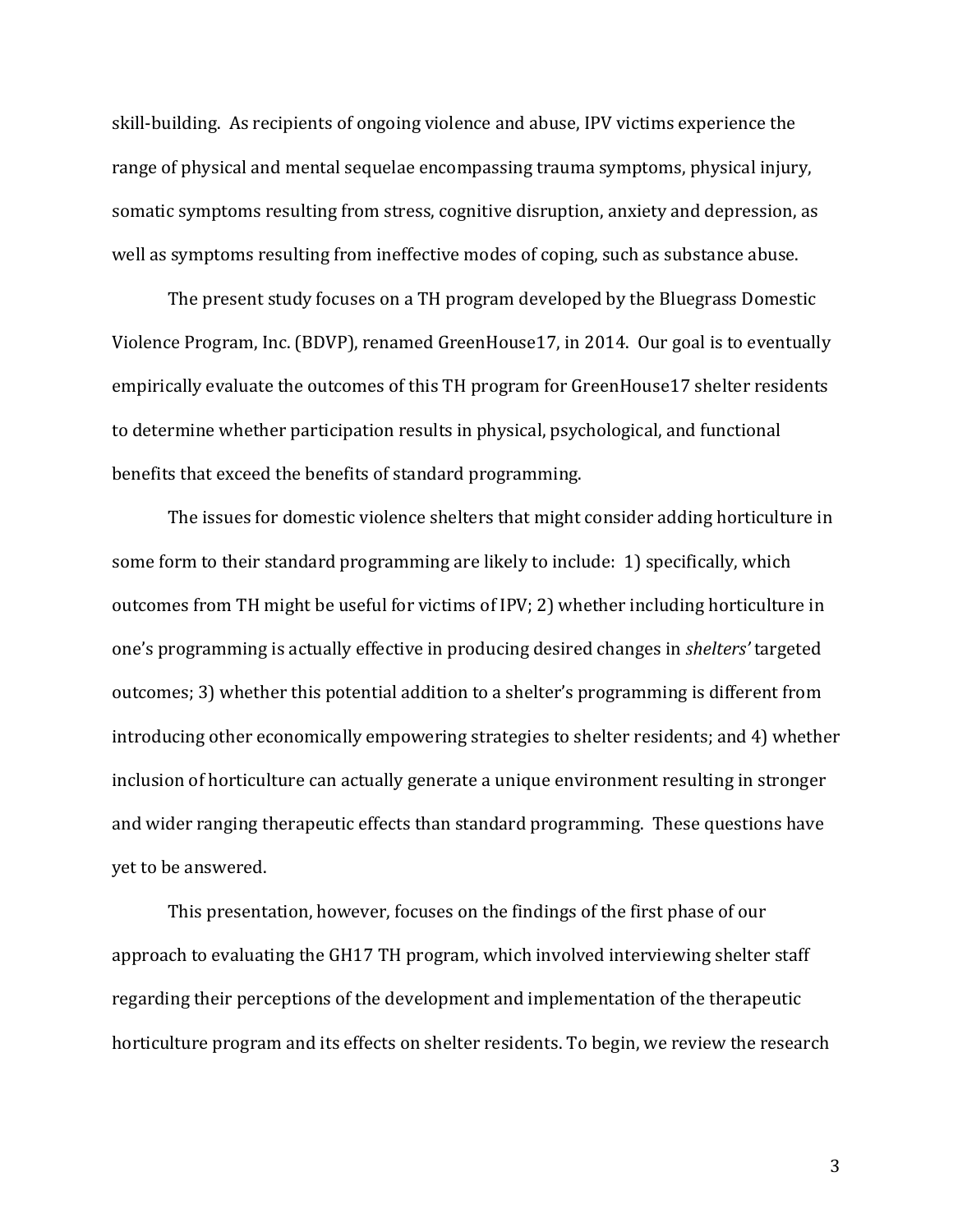skill-building. As recipients of ongoing violence and abuse, IPV victims experience the range of physical and mental sequelae encompassing trauma symptoms, physical injury, somatic symptoms resulting from stress, cognitive disruption, anxiety and depression, as well as symptoms resulting from ineffective modes of coping, such as substance abuse.

The present study focuses on a TH program developed by the Bluegrass Domestic Violence Program, Inc. (BDVP), renamed GreenHouse17, in 2014. Our goal is to eventually empirically evaluate the outcomes of this TH program for GreenHouse17 shelter residents to determine whether participation results in physical, psychological, and functional benefits that exceed the benefits of standard programming.

The issues for domestic violence shelters that might consider adding horticulture in some form to their standard programming are likely to include: 1) specifically, which outcomes from TH might be useful for victims of IPV; 2) whether including horticulture in one's programming is actually effective in producing desired changes in *shelters'* targeted outcomes; 3) whether this potential addition to a shelter's programming is different from introducing other economically empowering strategies to shelter residents; and 4) whether inclusion of horticulture can actually generate a unique environment resulting in stronger and wider ranging therapeutic effects than standard programming. These questions have yet to be answered.

This presentation, however, focuses on the findings of the first phase of our approach to evaluating the GH17 TH program, which involved interviewing shelter staff regarding their perceptions of the development and implementation of the therapeutic horticulture program and its effects on shelter residents. To begin, we review the research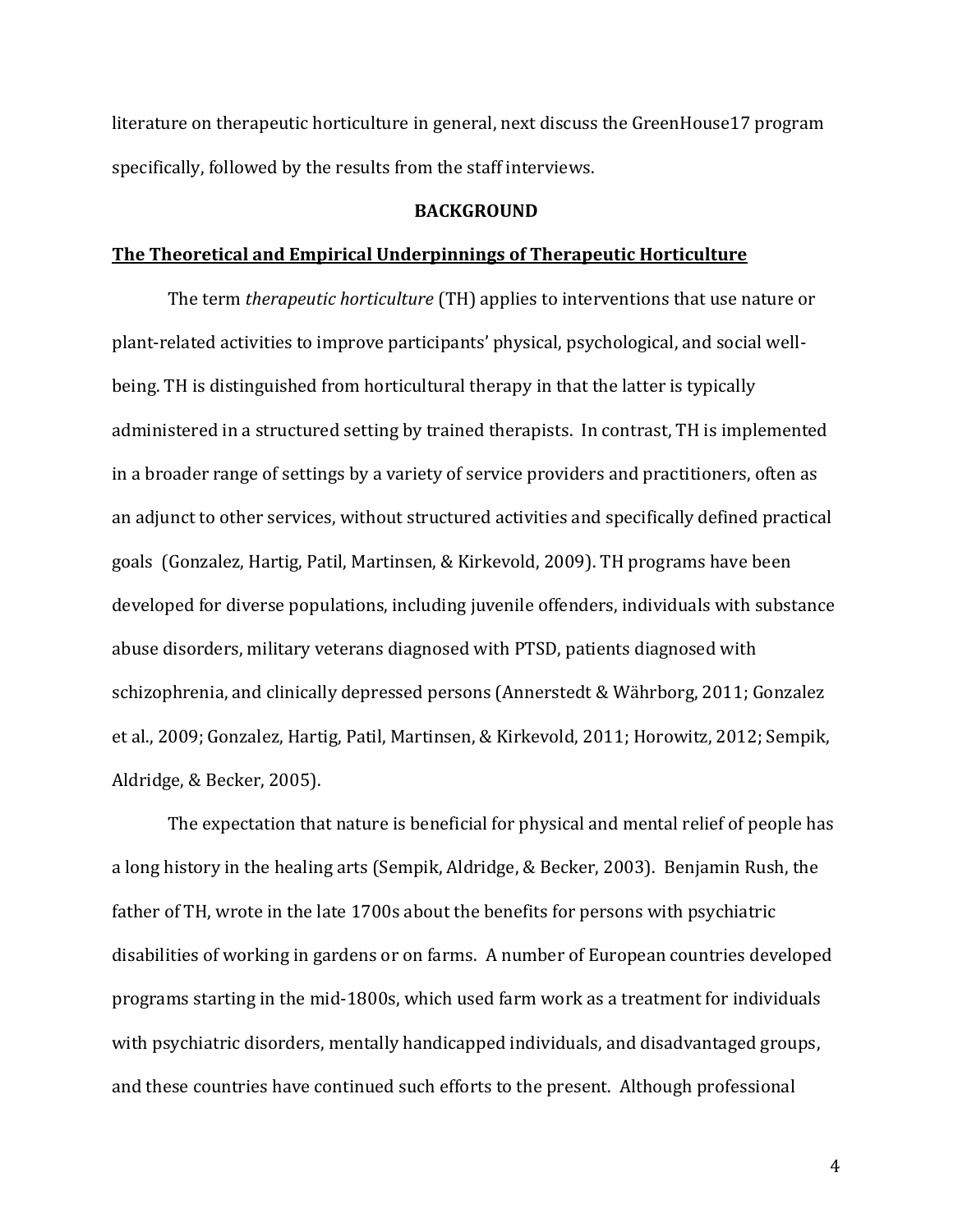literature on therapeutic horticulture in general, next discuss the GreenHouse17 program specifically, followed by the results from the staff interviews.

#### **BACKGROUND**

#### **The Theoretical and Empirical Underpinnings of Therapeutic Horticulture**

The term *therapeutic horticulture* (TH) applies to interventions that use nature or plant-related activities to improve participants' physical, psychological, and social wellbeing. TH is distinguished from horticultural therapy in that the latter is typically administered in a structured setting by trained therapists. In contrast, TH is implemented in a broader range of settings by a variety of service providers and practitioners, often as an adjunct to other services, without structured activities and specifically defined practical goals (Gonzalez, Hartig, Patil, Martinsen, & Kirkevold, 2009). TH programs have been developed for diverse populations, including juvenile offenders, individuals with substance abuse disorders, military veterans diagnosed with PTSD, patients diagnosed with schizophrenia, and clinically depressed persons (Annerstedt & Währborg, 2011; Gonzalez et al., 2009; Gonzalez, Hartig, Patil, Martinsen, & Kirkevold, 2011; Horowitz, 2012; Sempik, Aldridge, & Becker, 2005).

The expectation that nature is beneficial for physical and mental relief of people has a long history in the healing arts (Sempik, Aldridge, & Becker, 2003). Benjamin Rush, the father of TH, wrote in the late 1700s about the benefits for persons with psychiatric disabilities of working in gardens or on farms. A number of European countries developed programs starting in the mid-1800s, which used farm work as a treatment for individuals with psychiatric disorders, mentally handicapped individuals, and disadvantaged groups, and these countries have continued such efforts to the present. Although professional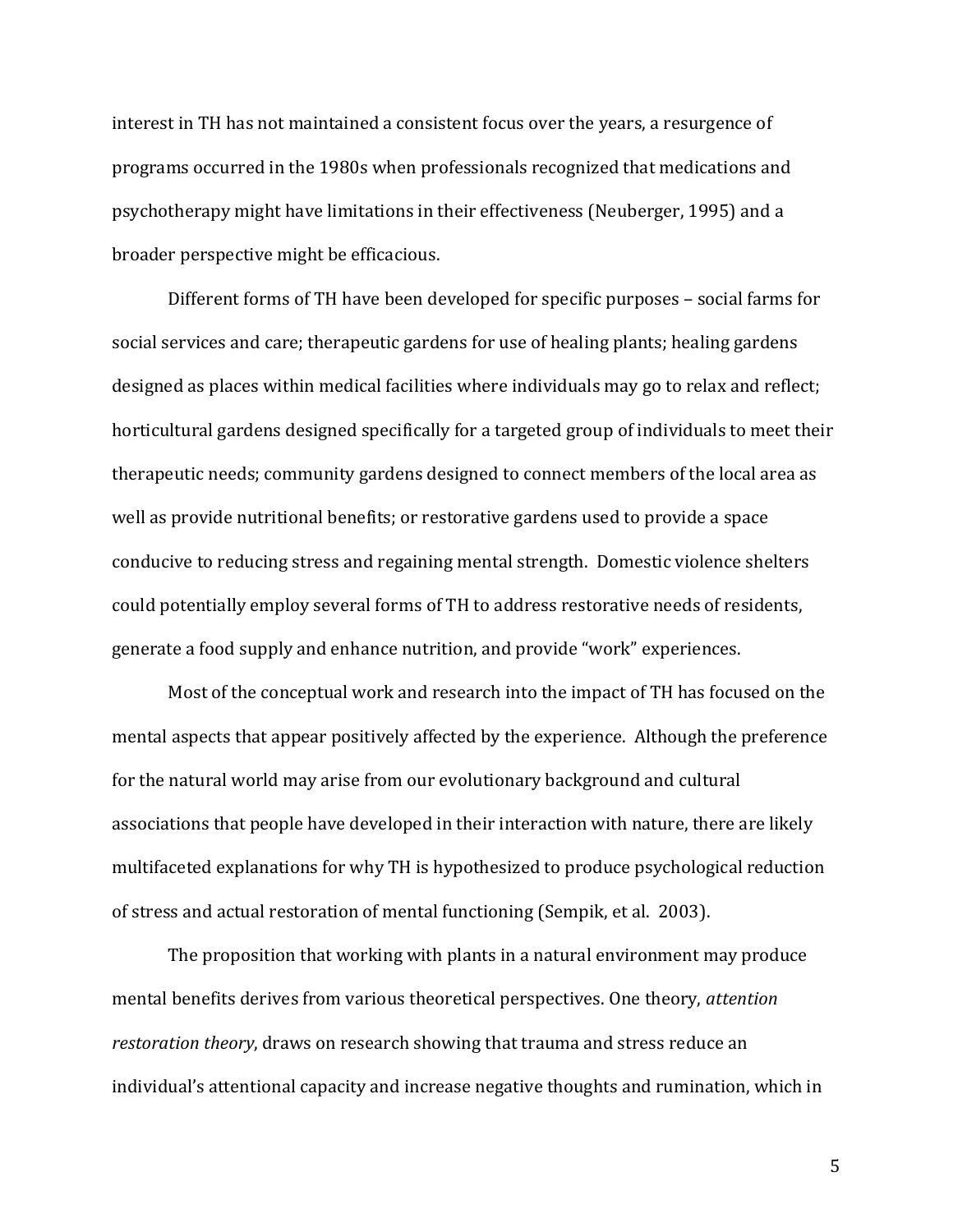interest in TH has not maintained a consistent focus over the years, a resurgence of programs occurred in the 1980s when professionals recognized that medications and psychotherapy might have limitations in their effectiveness (Neuberger, 1995) and a broader perspective might be efficacious.

Different forms of TH have been developed for specific purposes – social farms for social services and care; therapeutic gardens for use of healing plants; healing gardens designed as places within medical facilities where individuals may go to relax and reflect; horticultural gardens designed specifically for a targeted group of individuals to meet their therapeutic needs; community gardens designed to connect members of the local area as well as provide nutritional benefits; or restorative gardens used to provide a space conducive to reducing stress and regaining mental strength. Domestic violence shelters could potentially employ several forms of TH to address restorative needs of residents, generate a food supply and enhance nutrition, and provide "work" experiences.

Most of the conceptual work and research into the impact of TH has focused on the mental aspects that appear positively affected by the experience. Although the preference for the natural world may arise from our evolutionary background and cultural associations that people have developed in their interaction with nature, there are likely multifaceted explanations for why TH is hypothesized to produce psychological reduction of stress and actual restoration of mental functioning (Sempik, et al. 2003).

The proposition that working with plants in a natural environment may produce mental benefits derives from various theoretical perspectives. One theory, *attention restoration theory*, draws on research showing that trauma and stress reduce an individual's attentional capacity and increase negative thoughts and rumination, which in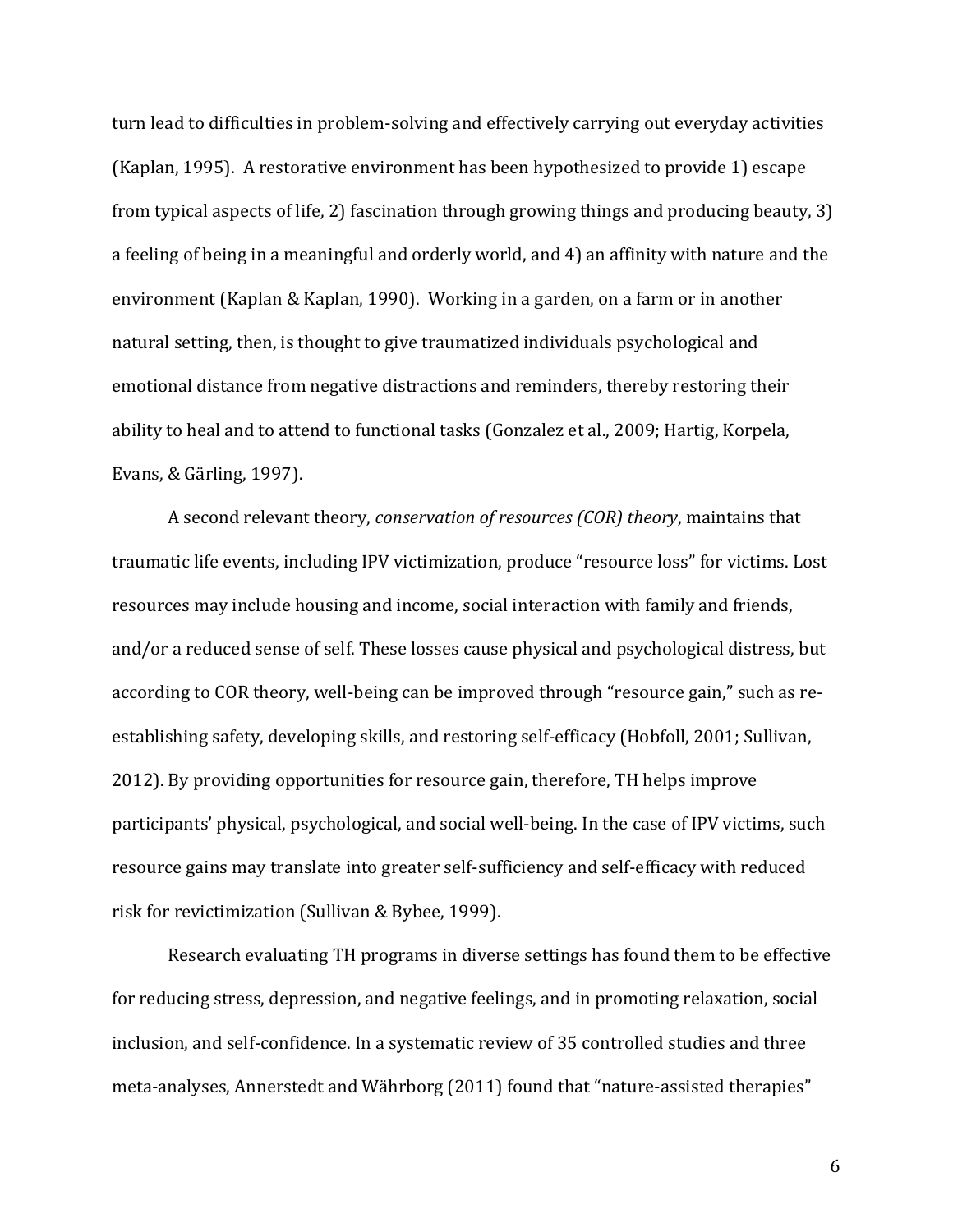turn lead to difficulties in problem-solving and effectively carrying out everyday activities (Kaplan, 1995). A restorative environment has been hypothesized to provide 1) escape from typical aspects of life, 2) fascination through growing things and producing beauty, 3) a feeling of being in a meaningful and orderly world, and 4) an affinity with nature and the environment (Kaplan & Kaplan, 1990). Working in a garden, on a farm or in another natural setting, then, is thought to give traumatized individuals psychological and emotional distance from negative distractions and reminders, thereby restoring their ability to heal and to attend to functional tasks (Gonzalez et al., 2009; Hartig, Korpela, Evans, & Gärling, 1997).

A second relevant theory, *conservation of resources (COR) theory*, maintains that traumatic life events, including IPV victimization, produce "resource loss" for victims. Lost resources may include housing and income, social interaction with family and friends, and/or a reduced sense of self. These losses cause physical and psychological distress, but according to COR theory, well-being can be improved through "resource gain," such as reestablishing safety, developing skills, and restoring self-efficacy (Hobfoll, 2001; Sullivan, 2012). By providing opportunities for resource gain, therefore, TH helps improve participants' physical, psychological, and social well-being. In the case of IPV victims, such resource gains may translate into greater self-sufficiency and self-efficacy with reduced risk for revictimization (Sullivan & Bybee, 1999).

Research evaluating TH programs in diverse settings has found them to be effective for reducing stress, depression, and negative feelings, and in promoting relaxation, social inclusion, and self-confidence. In a systematic review of 35 controlled studies and three meta-analyses, Annerstedt and Währborg (2011) found that "nature-assisted therapies"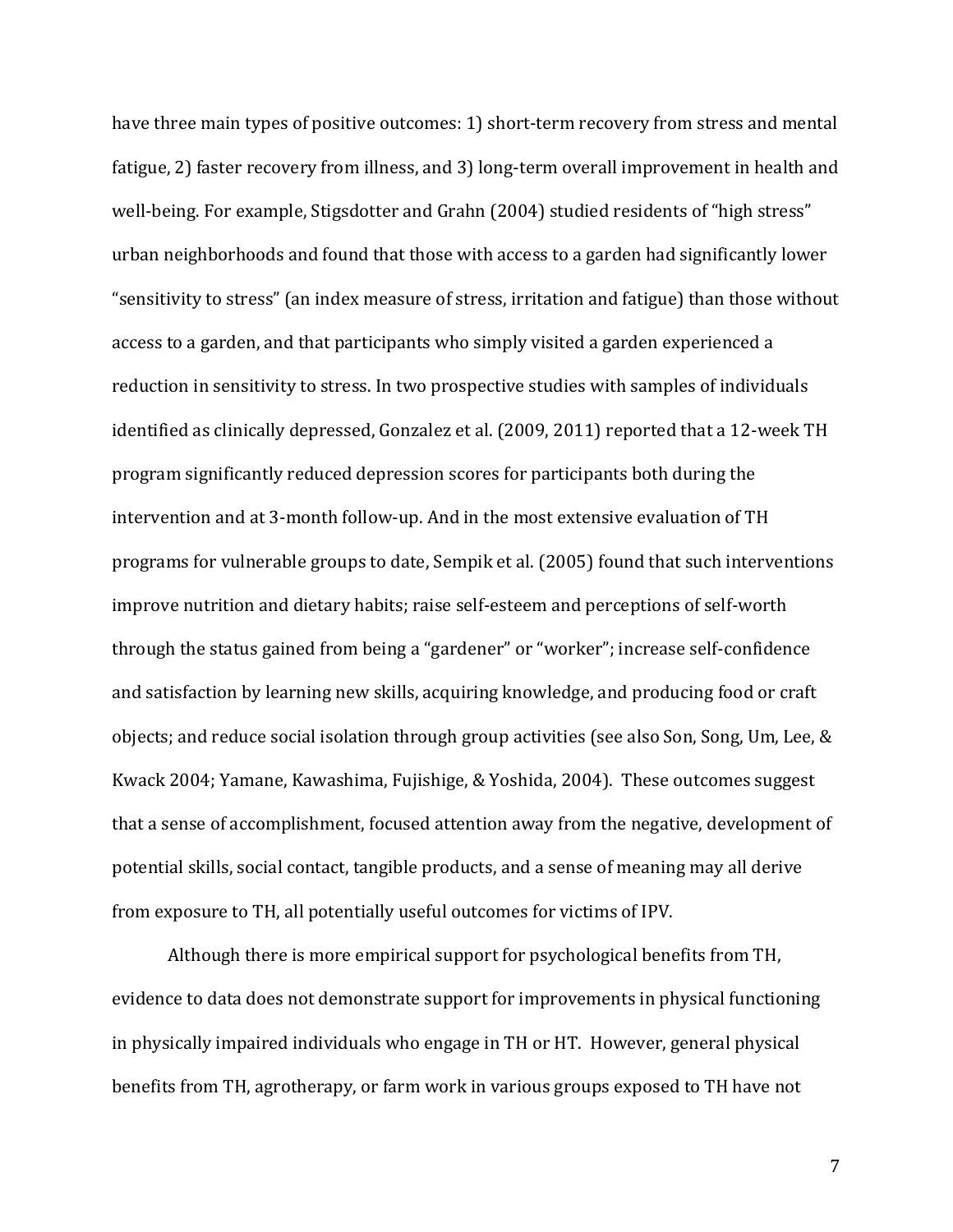have three main types of positive outcomes: 1) short-term recovery from stress and mental fatigue, 2) faster recovery from illness, and 3) long-term overall improvement in health and well-being. For example, Stigsdotter and Grahn (2004) studied residents of "high stress" urban neighborhoods and found that those with access to a garden had significantly lower "sensitivity to stress" (an index measure of stress, irritation and fatigue) than those without access to a garden, and that participants who simply visited a garden experienced a reduction in sensitivity to stress. In two prospective studies with samples of individuals identified as clinically depressed, Gonzalez et al. (2009, 2011) reported that a 12-week TH program significantly reduced depression scores for participants both during the intervention and at 3-month follow-up. And in the most extensive evaluation of TH programs for vulnerable groups to date, Sempik et al. (2005) found that such interventions improve nutrition and dietary habits; raise self-esteem and perceptions of self-worth through the status gained from being a "gardener" or "worker"; increase self-confidence and satisfaction by learning new skills, acquiring knowledge, and producing food or craft objects; and reduce social isolation through group activities (see also Son, Song, Um, Lee, & Kwack 2004; Yamane, Kawashima, Fujishige, & Yoshida, 2004). These outcomes suggest that a sense of accomplishment, focused attention away from the negative, development of potential skills, social contact, tangible products, and a sense of meaning may all derive from exposure to TH, all potentially useful outcomes for victims of IPV.

Although there is more empirical support for psychological benefits from TH, evidence to data does not demonstrate support for improvements in physical functioning in physically impaired individuals who engage in TH or HT. However, general physical benefits from TH, agrotherapy, or farm work in various groups exposed to TH have not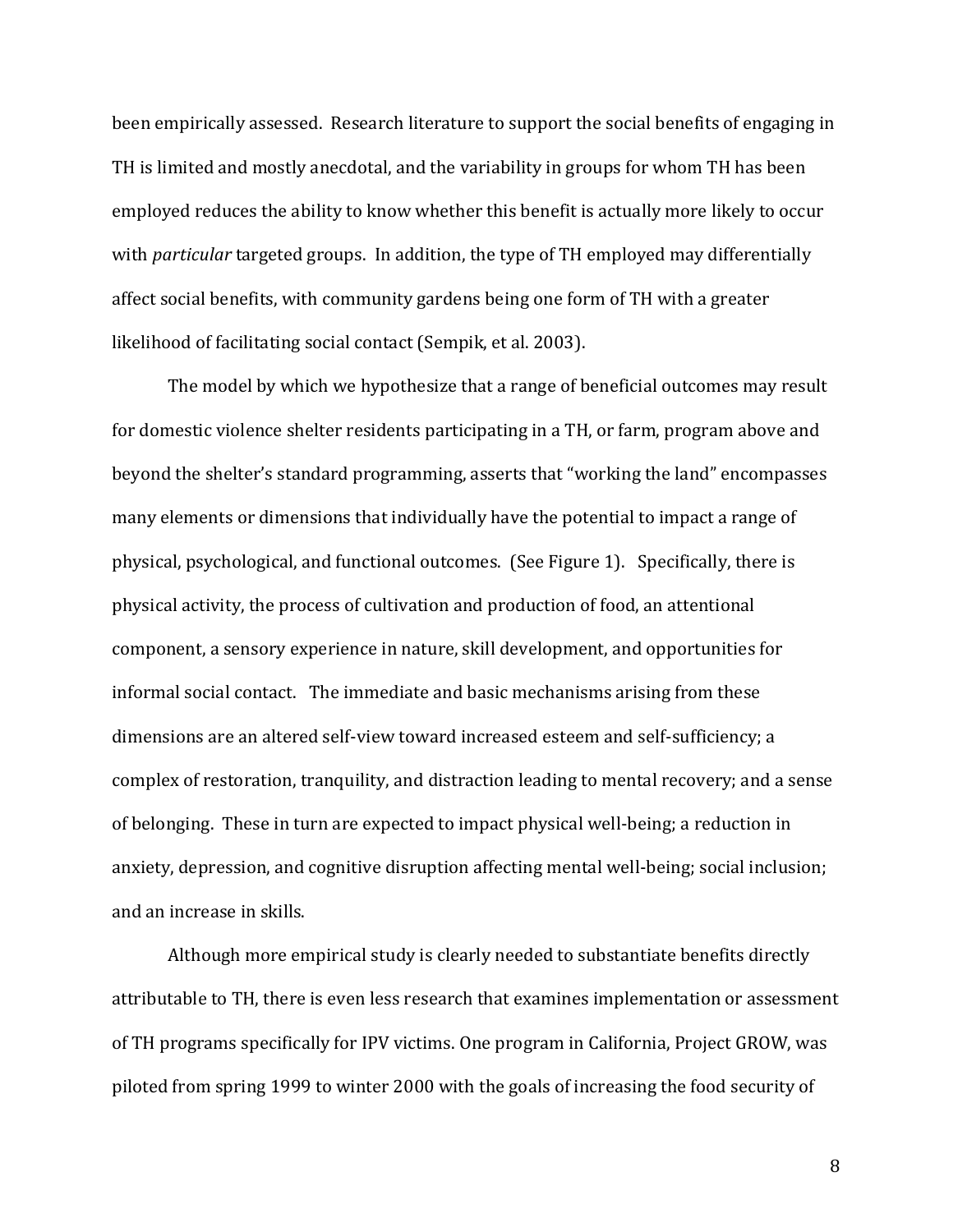been empirically assessed. Research literature to support the social benefits of engaging in TH is limited and mostly anecdotal, and the variability in groups for whom TH has been employed reduces the ability to know whether this benefit is actually more likely to occur with *particular* targeted groups. In addition, the type of TH employed may differentially affect social benefits, with community gardens being one form of TH with a greater likelihood of facilitating social contact (Sempik, et al. 2003).

The model by which we hypothesize that a range of beneficial outcomes may result for domestic violence shelter residents participating in a TH, or farm, program above and beyond the shelter's standard programming, asserts that "working the land" encompasses many elements or dimensions that individually have the potential to impact a range of physical, psychological, and functional outcomes. (See Figure 1). Specifically, there is physical activity, the process of cultivation and production of food, an attentional component, a sensory experience in nature, skill development, and opportunities for informal social contact. The immediate and basic mechanisms arising from these dimensions are an altered self-view toward increased esteem and self-sufficiency; a complex of restoration, tranquility, and distraction leading to mental recovery; and a sense of belonging. These in turn are expected to impact physical well-being; a reduction in anxiety, depression, and cognitive disruption affecting mental well-being; social inclusion; and an increase in skills.

Although more empirical study is clearly needed to substantiate benefits directly attributable to TH, there is even less research that examines implementation or assessment of TH programs specifically for IPV victims. One program in California, Project GROW, was piloted from spring 1999 to winter 2000 with the goals of increasing the food security of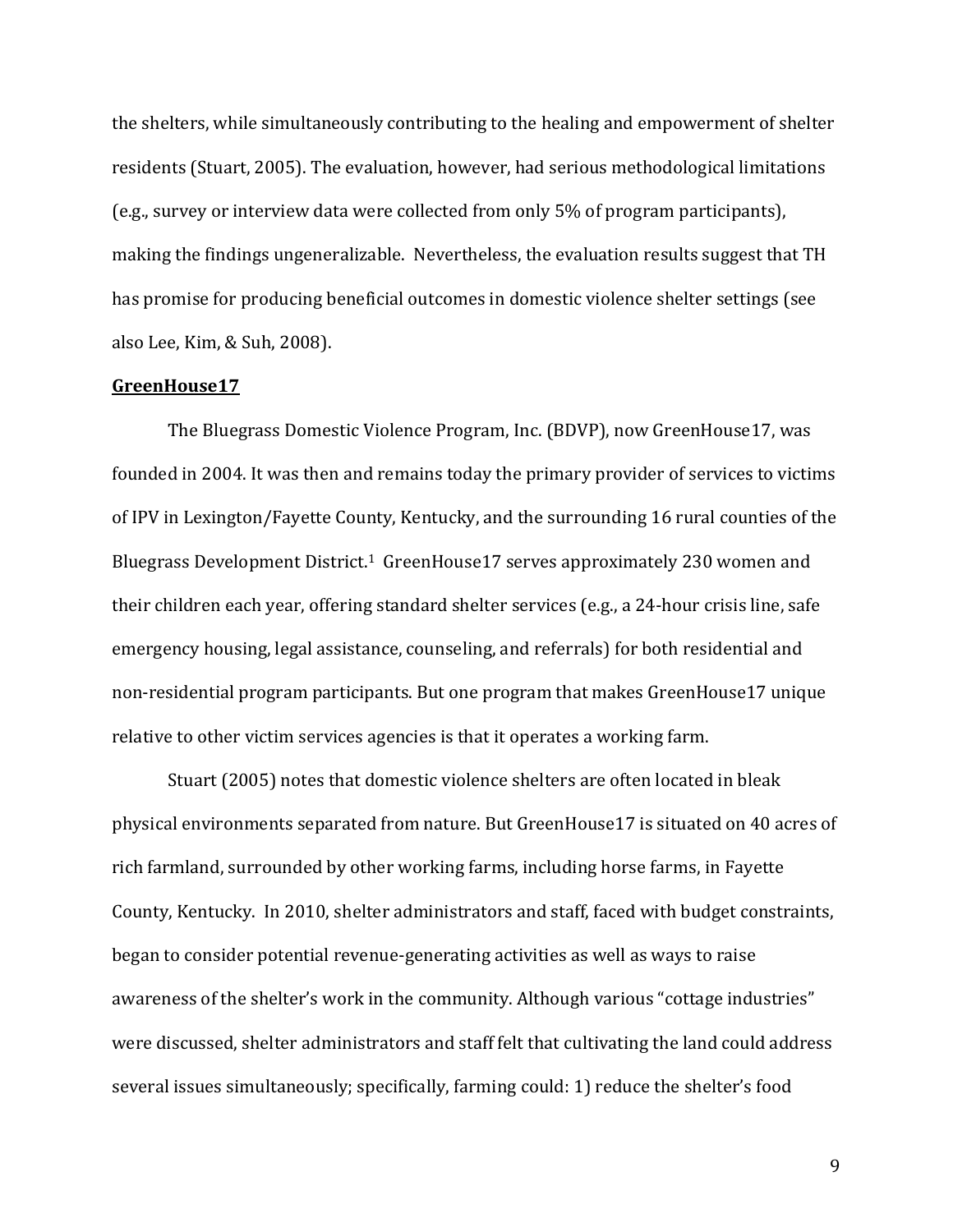the shelters, while simultaneously contributing to the healing and empowerment of shelter residents (Stuart, 2005). The evaluation, however, had serious methodological limitations (e.g., survey or interview data were collected from only 5% of program participants), making the findings ungeneralizable. Nevertheless, the evaluation results suggest that TH has promise for producing beneficial outcomes in domestic violence shelter settings (see also Lee, Kim, & Suh, 2008).

#### **GreenHouse17**

The Bluegrass Domestic Violence Program, Inc. (BDVP), now GreenHouse17, was founded in 2004. It was then and remains today the primary provider of services to victims of IPV in Lexington/Fayette County, Kentucky, and the surrounding 16 rural counties of the Bluegrass Development District.<sup>1</sup> GreenHouse17 serves approximately 230 women and their children each year, offering standard shelter services (e.g., a 24-hour crisis line, safe emergency housing, legal assistance, counseling, and referrals) for both residential and non-residential program participants. But one program that makes GreenHouse17 unique relative to other victim services agencies is that it operates a working farm.

Stuart (2005) notes that domestic violence shelters are often located in bleak physical environments separated from nature. But GreenHouse17 is situated on 40 acres of rich farmland, surrounded by other working farms, including horse farms, in Fayette County, Kentucky. In 2010, shelter administrators and staff, faced with budget constraints, began to consider potential revenue-generating activities as well as ways to raise awareness of the shelter's work in the community. Although various "cottage industries" were discussed, shelter administrators and staff felt that cultivating the land could address several issues simultaneously; specifically, farming could: 1) reduce the shelter's food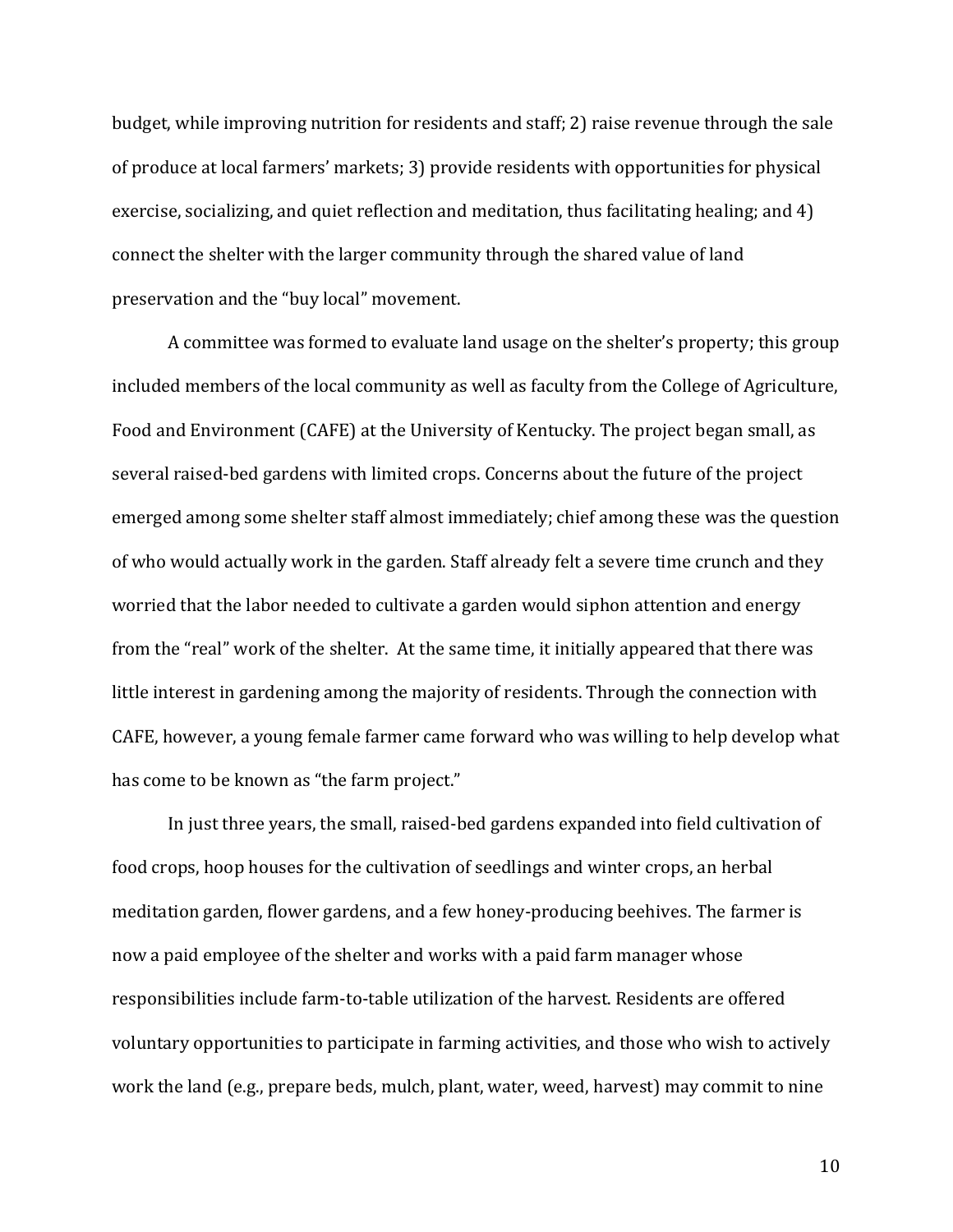budget, while improving nutrition for residents and staff; 2) raise revenue through the sale of produce at local farmers' markets; 3) provide residents with opportunities for physical exercise, socializing, and quiet reflection and meditation, thus facilitating healing; and 4) connect the shelter with the larger community through the shared value of land preservation and the "buy local" movement.

A committee was formed to evaluate land usage on the shelter's property; this group included members of the local community as well as faculty from the College of Agriculture, Food and Environment (CAFE) at the University of Kentucky. The project began small, as several raised-bed gardens with limited crops. Concerns about the future of the project emerged among some shelter staff almost immediately; chief among these was the question of who would actually work in the garden. Staff already felt a severe time crunch and they worried that the labor needed to cultivate a garden would siphon attention and energy from the "real" work of the shelter. At the same time, it initially appeared that there was little interest in gardening among the majority of residents. Through the connection with CAFE, however, a young female farmer came forward who was willing to help develop what has come to be known as "the farm project."

In just three years, the small, raised-bed gardens expanded into field cultivation of food crops, hoop houses for the cultivation of seedlings and winter crops, an herbal meditation garden, flower gardens, and a few honey-producing beehives. The farmer is now a paid employee of the shelter and works with a paid farm manager whose responsibilities include farm-to-table utilization of the harvest. Residents are offered voluntary opportunities to participate in farming activities, and those who wish to actively work the land (e.g., prepare beds, mulch, plant, water, weed, harvest) may commit to nine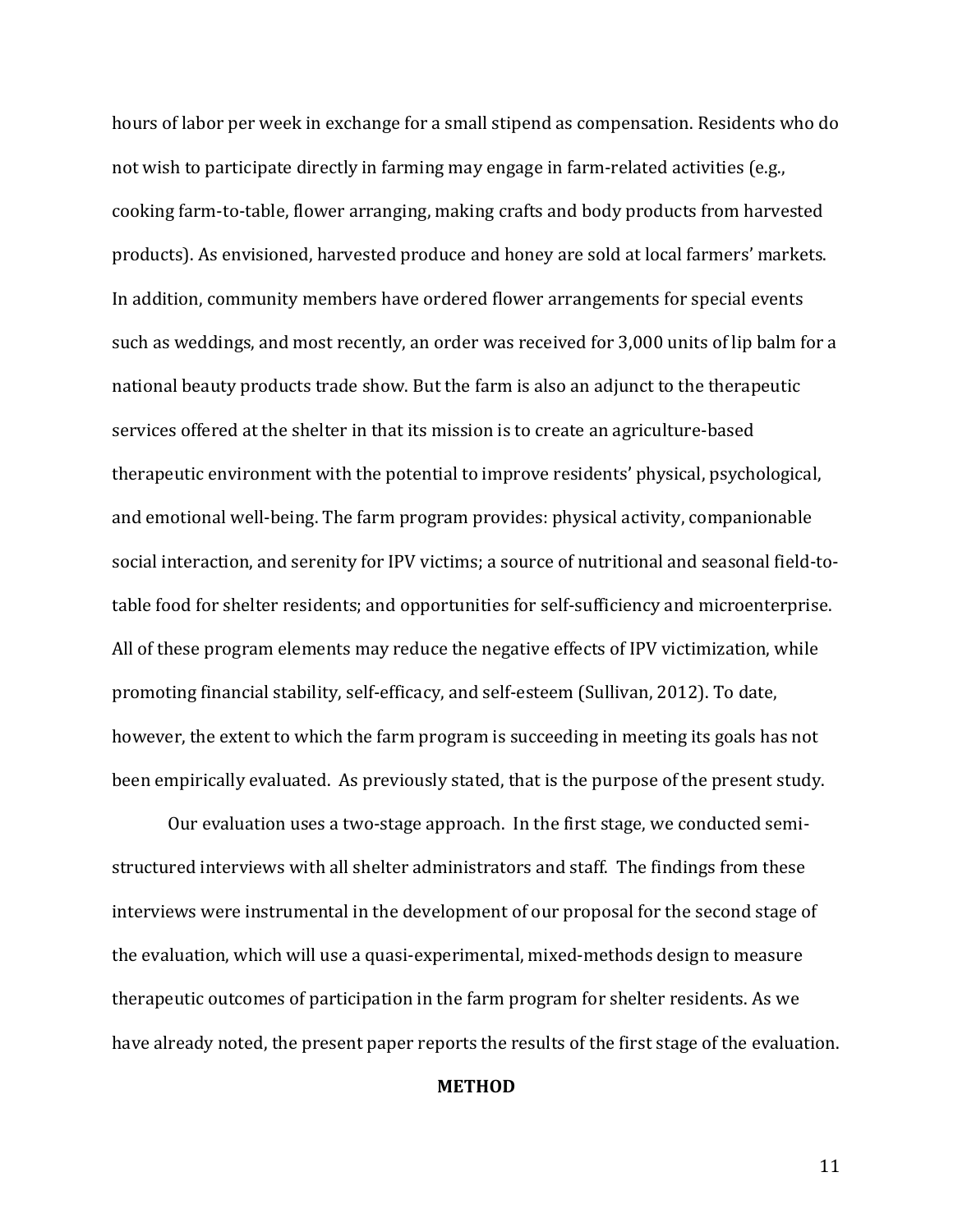hours of labor per week in exchange for a small stipend as compensation. Residents who do not wish to participate directly in farming may engage in farm-related activities (e.g., cooking farm-to-table, flower arranging, making crafts and body products from harvested products). As envisioned, harvested produce and honey are sold at local farmers' markets. In addition, community members have ordered flower arrangements for special events such as weddings, and most recently, an order was received for 3,000 units of lip balm for a national beauty products trade show. But the farm is also an adjunct to the therapeutic services offered at the shelter in that its mission is to create an agriculture-based therapeutic environment with the potential to improve residents' physical, psychological, and emotional well-being. The farm program provides: physical activity, companionable social interaction, and serenity for IPV victims; a source of nutritional and seasonal field-totable food for shelter residents; and opportunities for self-sufficiency and microenterprise. All of these program elements may reduce the negative effects of IPV victimization, while promoting financial stability, self-efficacy, and self-esteem (Sullivan, 2012). To date, however, the extent to which the farm program is succeeding in meeting its goals has not been empirically evaluated. As previously stated, that is the purpose of the present study.

Our evaluation uses a two-stage approach. In the first stage, we conducted semistructured interviews with all shelter administrators and staff. The findings from these interviews were instrumental in the development of our proposal for the second stage of the evaluation, which will use a quasi-experimental, mixed-methods design to measure therapeutic outcomes of participation in the farm program for shelter residents. As we have already noted, the present paper reports the results of the first stage of the evaluation.

## **METHOD**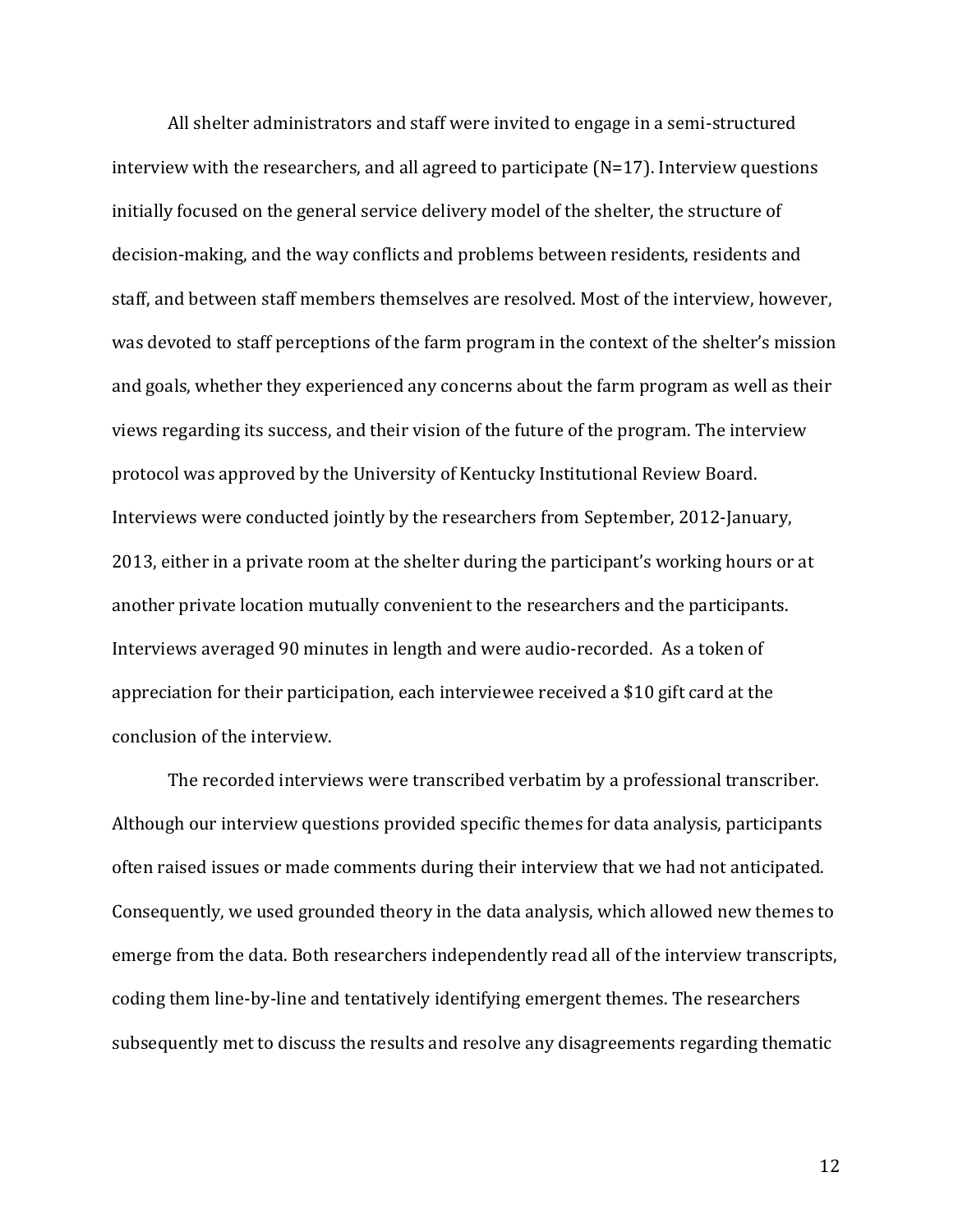All shelter administrators and staff were invited to engage in a semi-structured interview with the researchers, and all agreed to participate (N=17). Interview questions initially focused on the general service delivery model of the shelter, the structure of decision-making, and the way conflicts and problems between residents, residents and staff, and between staff members themselves are resolved. Most of the interview, however, was devoted to staff perceptions of the farm program in the context of the shelter's mission and goals, whether they experienced any concerns about the farm program as well as their views regarding its success, and their vision of the future of the program. The interview protocol was approved by the University of Kentucky Institutional Review Board. Interviews were conducted jointly by the researchers from September, 2012-January, 2013, either in a private room at the shelter during the participant's working hours or at another private location mutually convenient to the researchers and the participants. Interviews averaged 90 minutes in length and were audio-recorded. As a token of appreciation for their participation, each interviewee received a \$10 gift card at the conclusion of the interview.

The recorded interviews were transcribed verbatim by a professional transcriber. Although our interview questions provided specific themes for data analysis, participants often raised issues or made comments during their interview that we had not anticipated. Consequently, we used grounded theory in the data analysis, which allowed new themes to emerge from the data. Both researchers independently read all of the interview transcripts, coding them line-by-line and tentatively identifying emergent themes. The researchers subsequently met to discuss the results and resolve any disagreements regarding thematic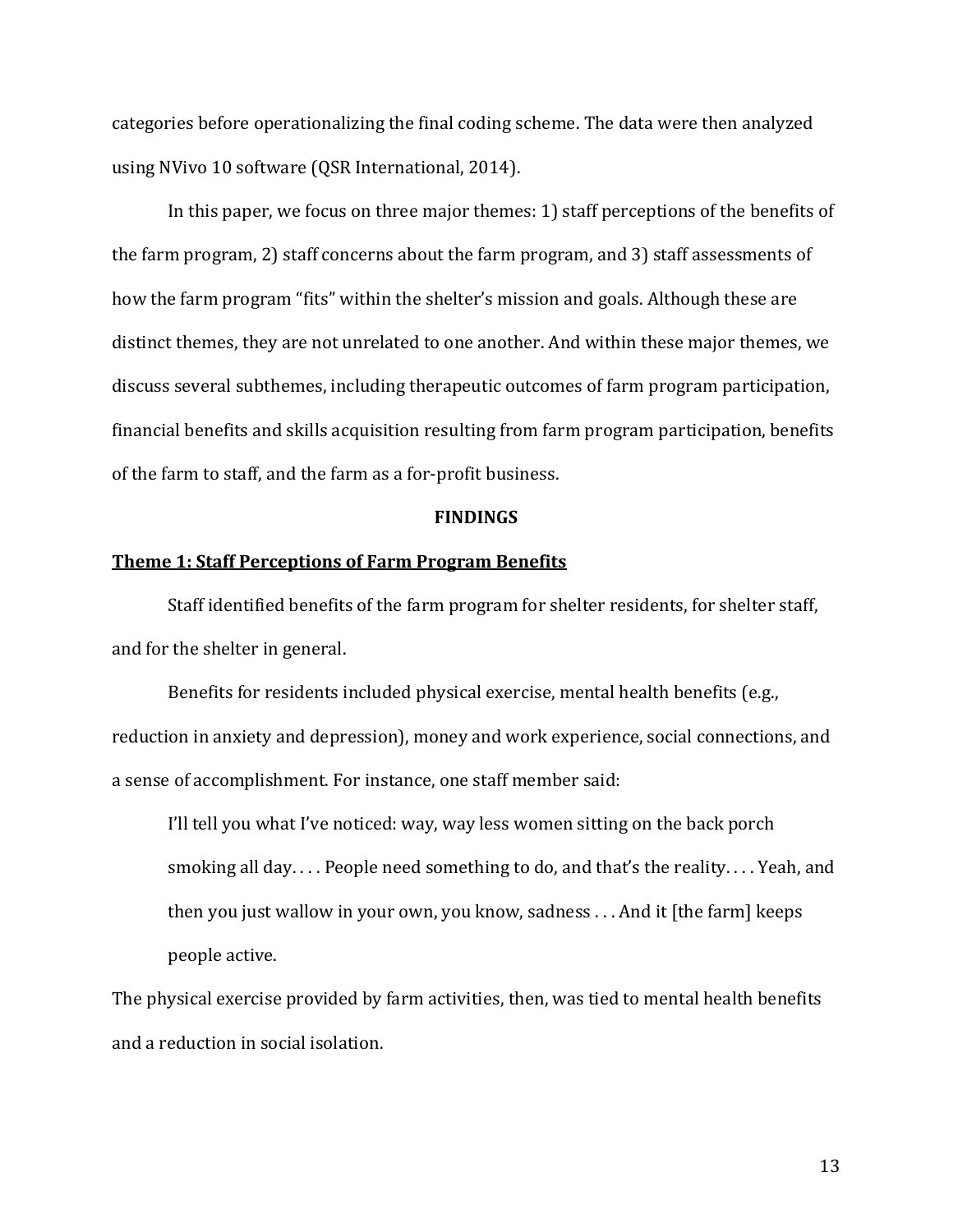categories before operationalizing the final coding scheme. The data were then analyzed using NVivo 10 software (QSR International, 2014).

In this paper, we focus on three major themes: 1) staff perceptions of the benefits of the farm program, 2) staff concerns about the farm program, and 3) staff assessments of how the farm program "fits" within the shelter's mission and goals. Although these are distinct themes, they are not unrelated to one another. And within these major themes, we discuss several subthemes, including therapeutic outcomes of farm program participation, financial benefits and skills acquisition resulting from farm program participation, benefits of the farm to staff, and the farm as a for-profit business.

## **FINDINGS**

## **Theme 1: Staff Perceptions of Farm Program Benefits**

Staff identified benefits of the farm program for shelter residents, for shelter staff, and for the shelter in general.

Benefits for residents included physical exercise, mental health benefits (e.g., reduction in anxiety and depression), money and work experience, social connections, and a sense of accomplishment. For instance, one staff member said:

I'll tell you what I've noticed: way, way less women sitting on the back porch smoking all day. . . . People need something to do, and that's the reality. . . . Yeah, and then you just wallow in your own, you know, sadness . . . And it [the farm] keeps people active.

The physical exercise provided by farm activities, then, was tied to mental health benefits and a reduction in social isolation.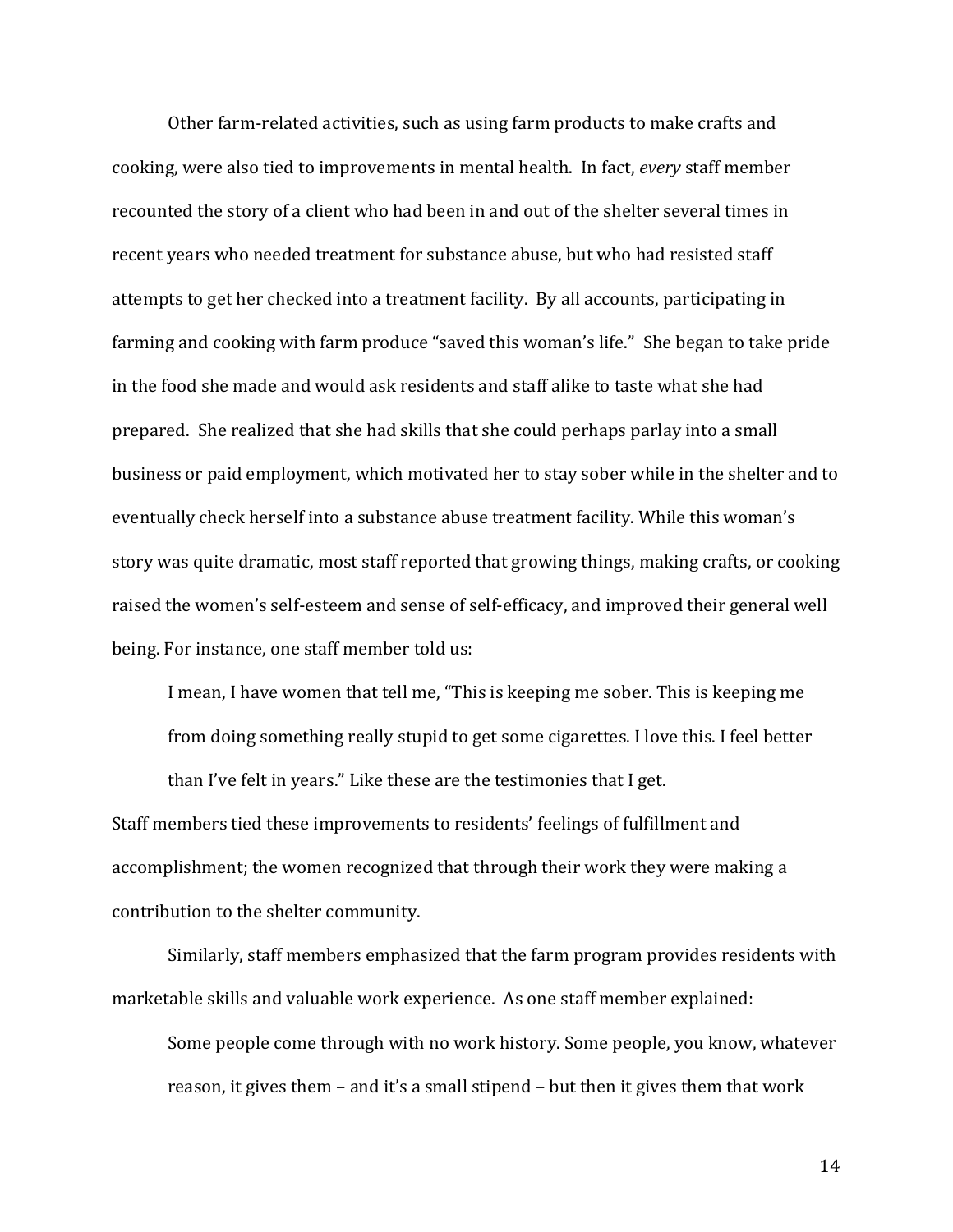Other farm-related activities, such as using farm products to make crafts and cooking, were also tied to improvements in mental health. In fact, *every* staff member recounted the story of a client who had been in and out of the shelter several times in recent years who needed treatment for substance abuse, but who had resisted staff attempts to get her checked into a treatment facility. By all accounts, participating in farming and cooking with farm produce "saved this woman's life." She began to take pride in the food she made and would ask residents and staff alike to taste what she had prepared. She realized that she had skills that she could perhaps parlay into a small business or paid employment, which motivated her to stay sober while in the shelter and to eventually check herself into a substance abuse treatment facility. While this woman's story was quite dramatic, most staff reported that growing things, making crafts, or cooking raised the women's self-esteem and sense of self-efficacy, and improved their general well being. For instance, one staff member told us:

I mean, I have women that tell me, "This is keeping me sober. This is keeping me from doing something really stupid to get some cigarettes. I love this. I feel better than I've felt in years." Like these are the testimonies that I get.

Staff members tied these improvements to residents' feelings of fulfillment and accomplishment; the women recognized that through their work they were making a contribution to the shelter community.

Similarly, staff members emphasized that the farm program provides residents with marketable skills and valuable work experience. As one staff member explained:

Some people come through with no work history. Some people, you know, whatever reason, it gives them – and it's a small stipend – but then it gives them that work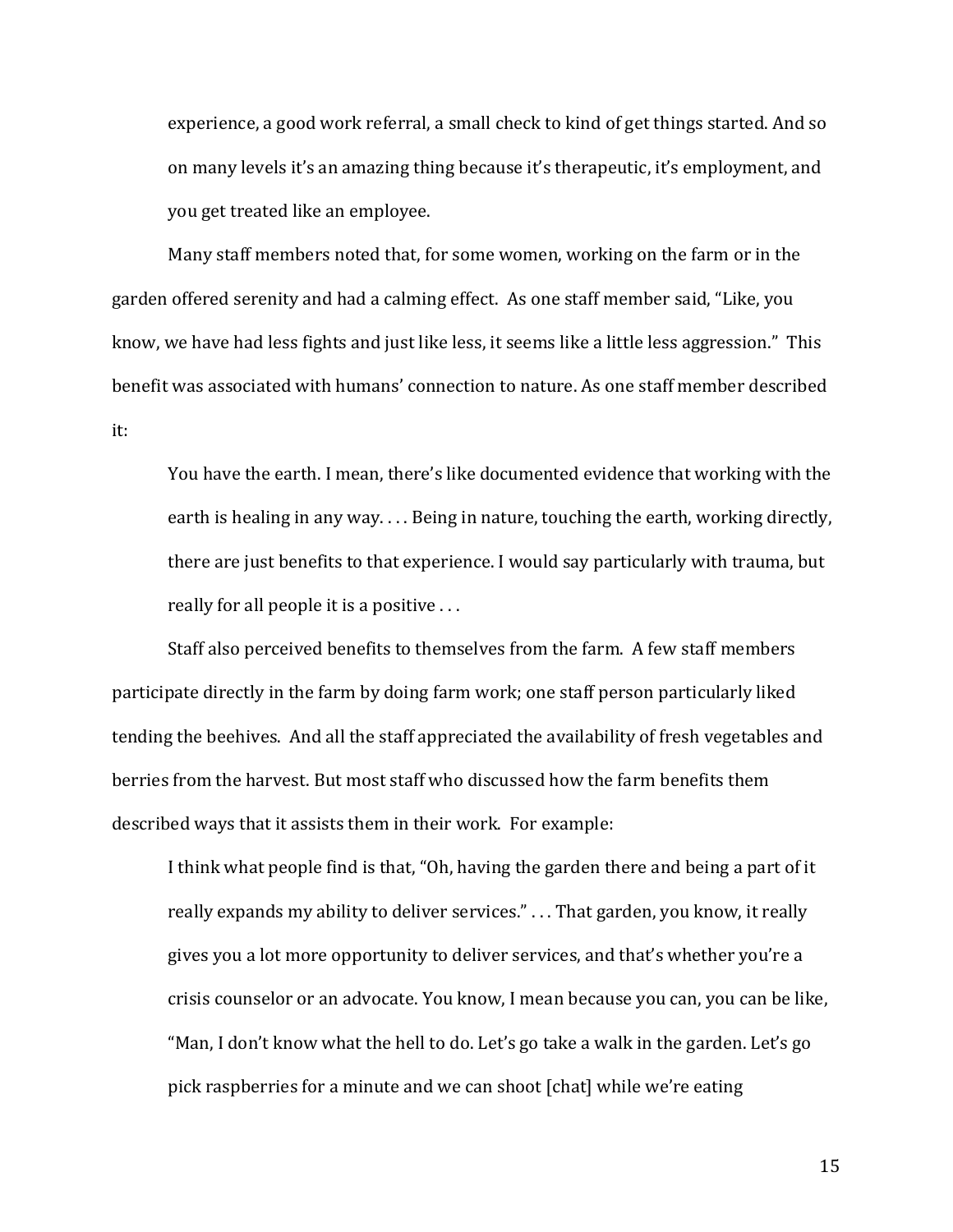experience, a good work referral, a small check to kind of get things started. And so on many levels it's an amazing thing because it's therapeutic, it's employment, and you get treated like an employee.

Many staff members noted that, for some women, working on the farm or in the garden offered serenity and had a calming effect. As one staff member said, "Like, you know, we have had less fights and just like less, it seems like a little less aggression." This benefit was associated with humans' connection to nature. As one staff member described it:

You have the earth. I mean, there's like documented evidence that working with the earth is healing in any way.... Being in nature, touching the earth, working directly, there are just benefits to that experience. I would say particularly with trauma, but really for all people it is a positive . . .

Staff also perceived benefits to themselves from the farm. A few staff members participate directly in the farm by doing farm work; one staff person particularly liked tending the beehives. And all the staff appreciated the availability of fresh vegetables and berries from the harvest. But most staff who discussed how the farm benefits them described ways that it assists them in their work. For example:

I think what people find is that, "Oh, having the garden there and being a part of it really expands my ability to deliver services." . . . That garden, you know, it really gives you a lot more opportunity to deliver services, and that's whether you're a crisis counselor or an advocate. You know, I mean because you can, you can be like, "Man, I don't know what the hell to do. Let's go take a walk in the garden. Let's go pick raspberries for a minute and we can shoot [chat] while we're eating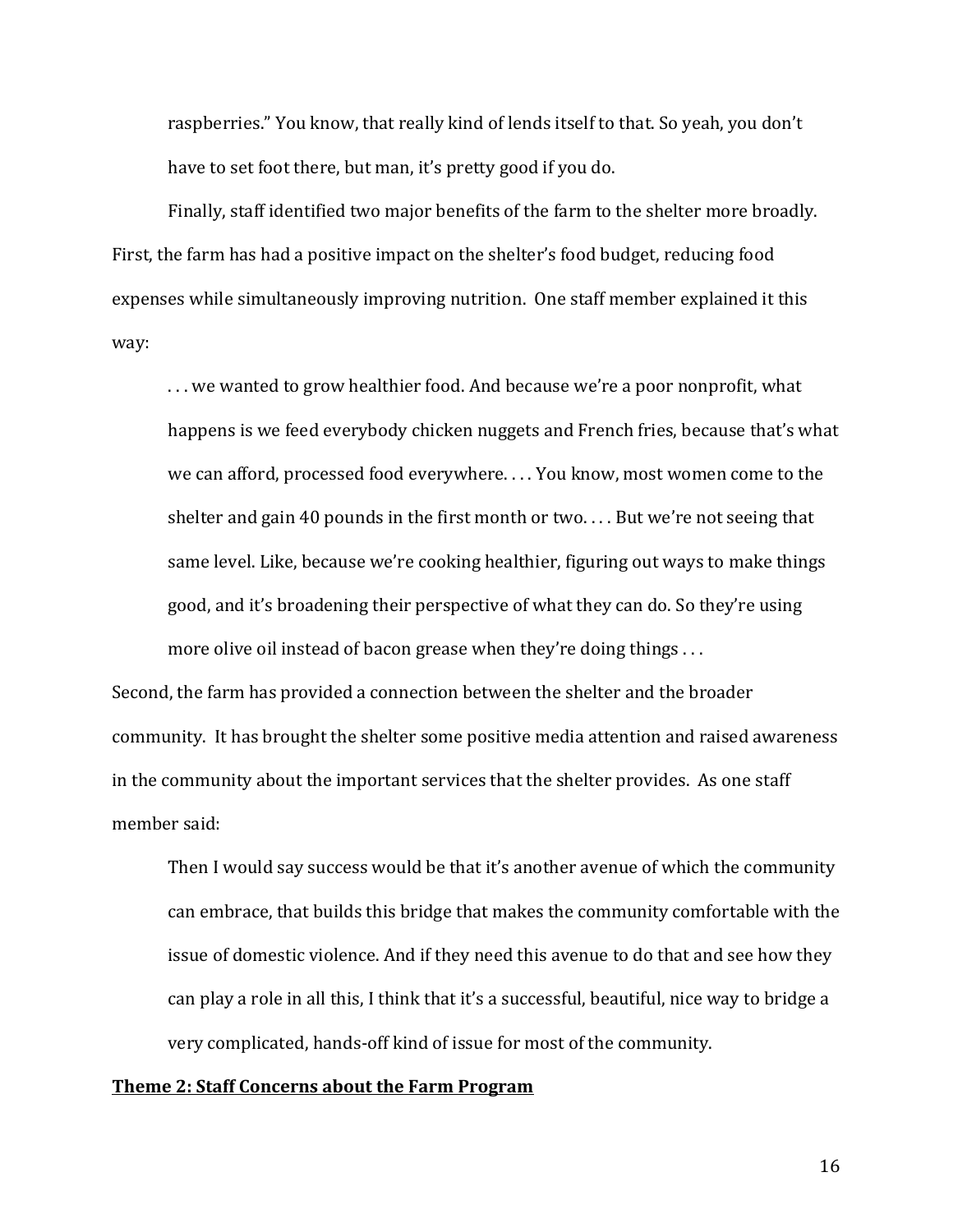raspberries." You know, that really kind of lends itself to that. So yeah, you don't have to set foot there, but man, it's pretty good if you do.

Finally, staff identified two major benefits of the farm to the shelter more broadly. First, the farm has had a positive impact on the shelter's food budget, reducing food expenses while simultaneously improving nutrition. One staff member explained it this way:

. . . we wanted to grow healthier food. And because we're a poor nonprofit, what happens is we feed everybody chicken nuggets and French fries, because that's what we can afford, processed food everywhere. . . . You know, most women come to the shelter and gain 40 pounds in the first month or two. . . . But we're not seeing that same level. Like, because we're cooking healthier, figuring out ways to make things good, and it's broadening their perspective of what they can do. So they're using more olive oil instead of bacon grease when they're doing things ...

Second, the farm has provided a connection between the shelter and the broader community. It has brought the shelter some positive media attention and raised awareness in the community about the important services that the shelter provides. As one staff member said:

Then I would say success would be that it's another avenue of which the community can embrace, that builds this bridge that makes the community comfortable with the issue of domestic violence. And if they need this avenue to do that and see how they can play a role in all this, I think that it's a successful, beautiful, nice way to bridge a very complicated, hands-off kind of issue for most of the community.

## **Theme 2: Staff Concerns about the Farm Program**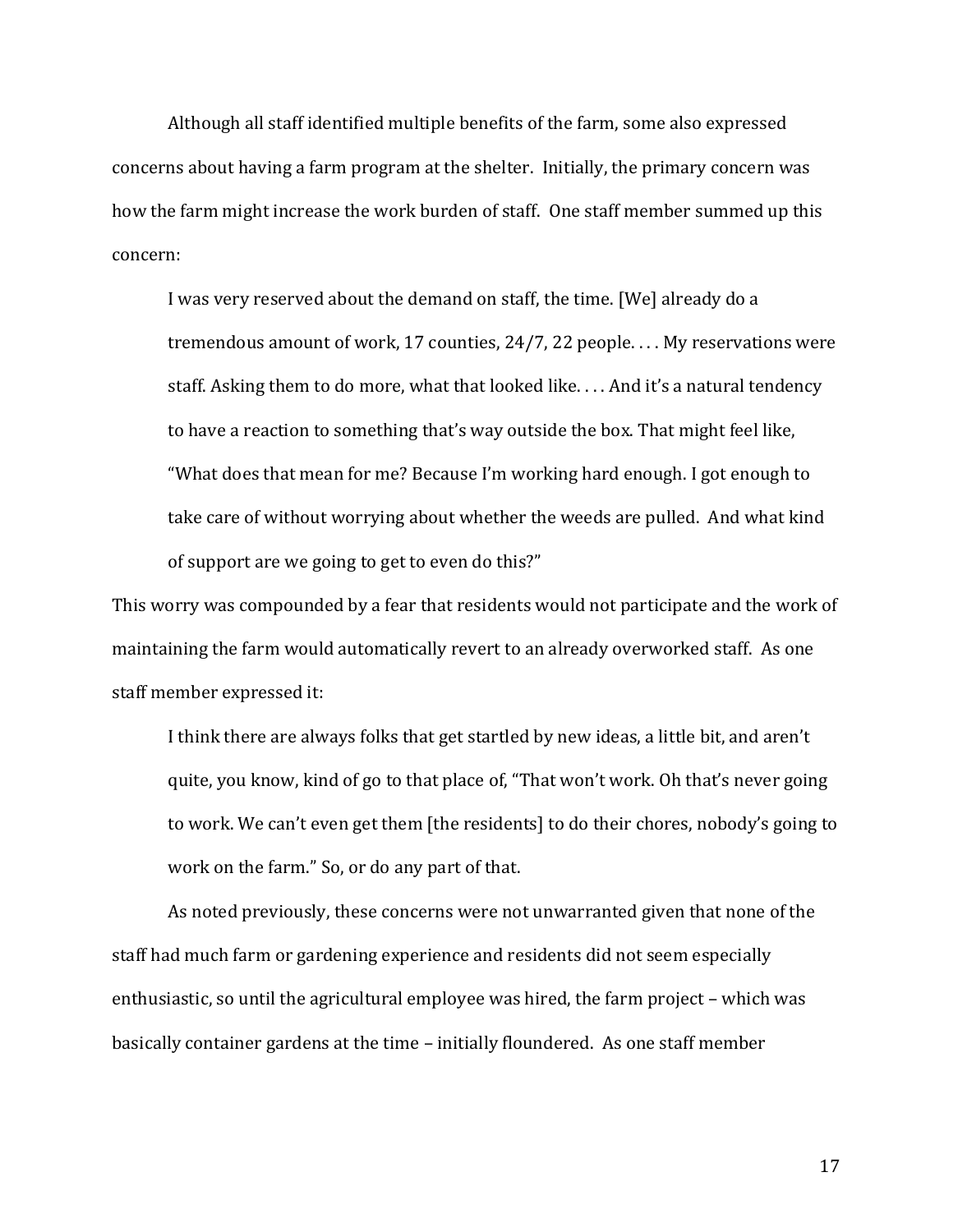Although all staff identified multiple benefits of the farm, some also expressed concerns about having a farm program at the shelter. Initially, the primary concern was how the farm might increase the work burden of staff. One staff member summed up this concern:

I was very reserved about the demand on staff, the time. [We] already do a tremendous amount of work, 17 counties, 24/7, 22 people. . . . My reservations were staff. Asking them to do more, what that looked like. . . . And it's a natural tendency to have a reaction to something that's way outside the box. That might feel like, "What does that mean for me? Because I'm working hard enough. I got enough to take care of without worrying about whether the weeds are pulled. And what kind of support are we going to get to even do this?"

This worry was compounded by a fear that residents would not participate and the work of maintaining the farm would automatically revert to an already overworked staff. As one staff member expressed it:

I think there are always folks that get startled by new ideas, a little bit, and aren't quite, you know, kind of go to that place of, "That won't work. Oh that's never going to work. We can't even get them [the residents] to do their chores, nobody's going to work on the farm." So, or do any part of that.

As noted previously, these concerns were not unwarranted given that none of the staff had much farm or gardening experience and residents did not seem especially enthusiastic, so until the agricultural employee was hired, the farm project – which was basically container gardens at the time – initially floundered. As one staff member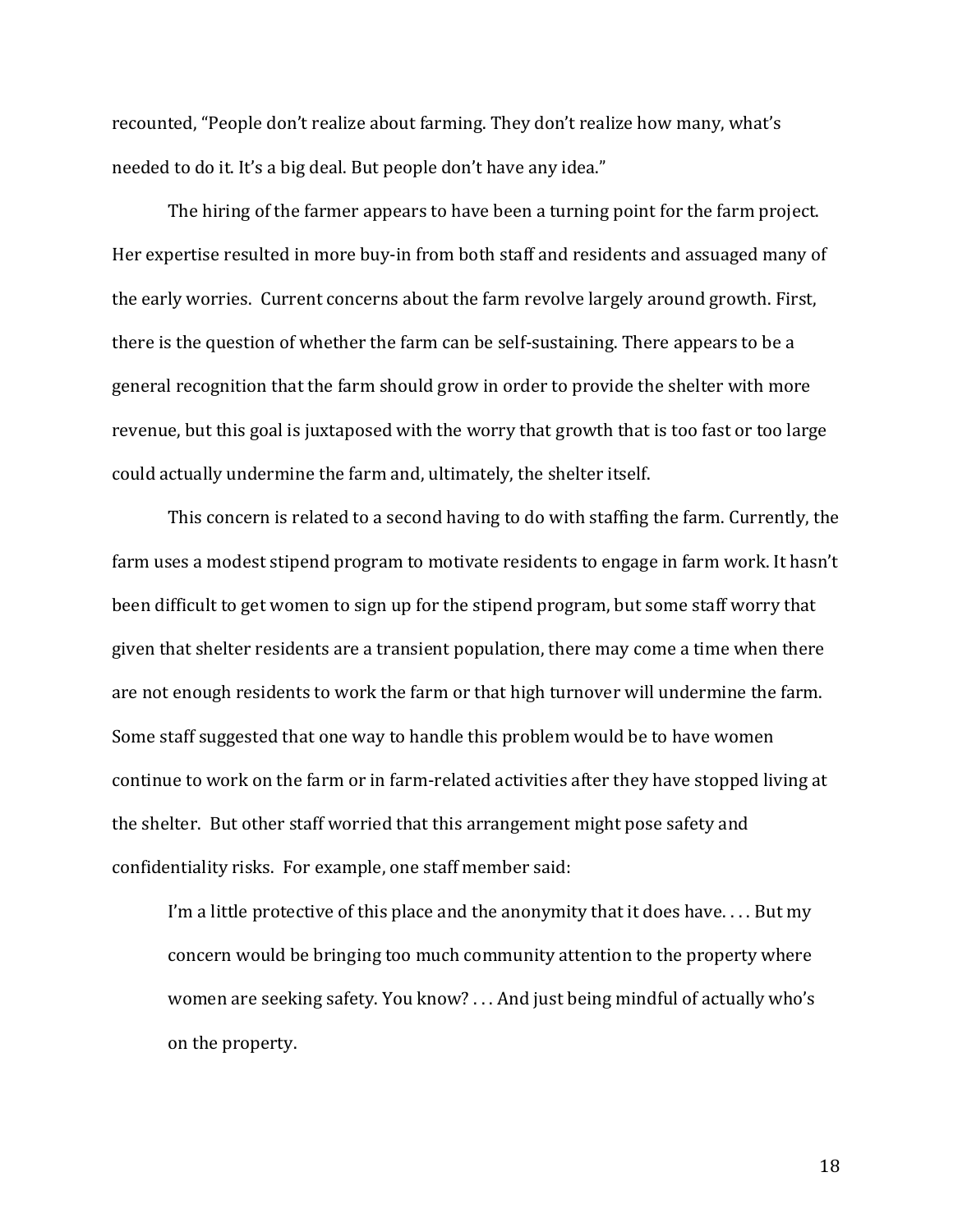recounted, "People don't realize about farming. They don't realize how many, what's needed to do it. It's a big deal. But people don't have any idea."

The hiring of the farmer appears to have been a turning point for the farm project. Her expertise resulted in more buy-in from both staff and residents and assuaged many of the early worries. Current concerns about the farm revolve largely around growth. First, there is the question of whether the farm can be self-sustaining. There appears to be a general recognition that the farm should grow in order to provide the shelter with more revenue, but this goal is juxtaposed with the worry that growth that is too fast or too large could actually undermine the farm and, ultimately, the shelter itself.

This concern is related to a second having to do with staffing the farm. Currently, the farm uses a modest stipend program to motivate residents to engage in farm work. It hasn't been difficult to get women to sign up for the stipend program, but some staff worry that given that shelter residents are a transient population, there may come a time when there are not enough residents to work the farm or that high turnover will undermine the farm. Some staff suggested that one way to handle this problem would be to have women continue to work on the farm or in farm-related activities after they have stopped living at the shelter. But other staff worried that this arrangement might pose safety and confidentiality risks. For example, one staff member said:

I'm a little protective of this place and the anonymity that it does have. . . . But my concern would be bringing too much community attention to the property where women are seeking safety. You know? . . . And just being mindful of actually who's on the property.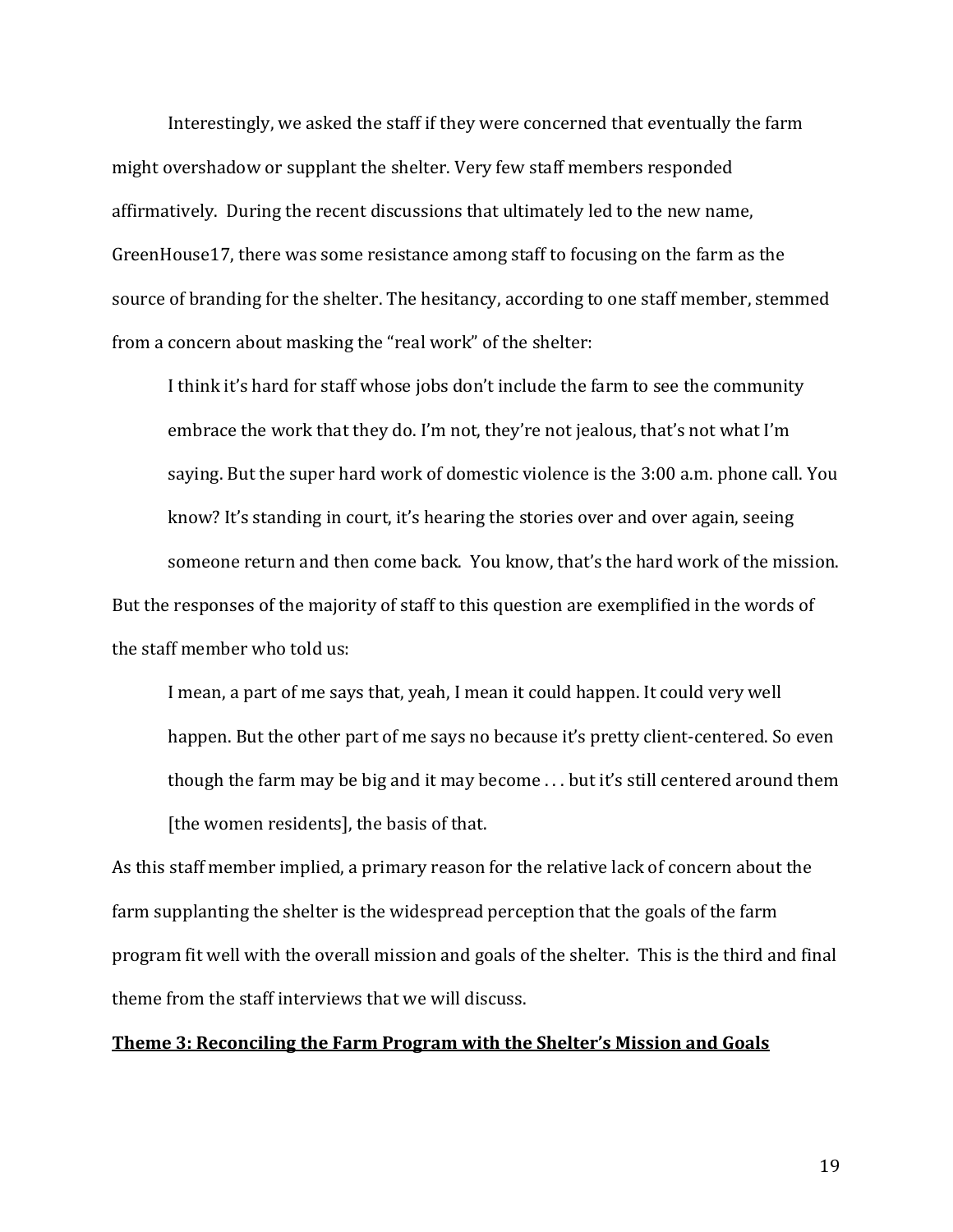Interestingly, we asked the staff if they were concerned that eventually the farm might overshadow or supplant the shelter. Very few staff members responded affirmatively. During the recent discussions that ultimately led to the new name, GreenHouse17, there was some resistance among staff to focusing on the farm as the source of branding for the shelter. The hesitancy, according to one staff member, stemmed from a concern about masking the "real work" of the shelter:

I think it's hard for staff whose jobs don't include the farm to see the community embrace the work that they do. I'm not, they're not jealous, that's not what I'm saying. But the super hard work of domestic violence is the 3:00 a.m. phone call. You know? It's standing in court, it's hearing the stories over and over again, seeing someone return and then come back. You know, that's the hard work of the mission. But the responses of the majority of staff to this question are exemplified in the words of the staff member who told us:

I mean, a part of me says that, yeah, I mean it could happen. It could very well happen. But the other part of me says no because it's pretty client-centered. So even though the farm may be big and it may become . . . but it's still centered around them [the women residents], the basis of that.

As this staff member implied, a primary reason for the relative lack of concern about the farm supplanting the shelter is the widespread perception that the goals of the farm program fit well with the overall mission and goals of the shelter. This is the third and final theme from the staff interviews that we will discuss.

## **Theme 3: Reconciling the Farm Program with the Shelter's Mission and Goals**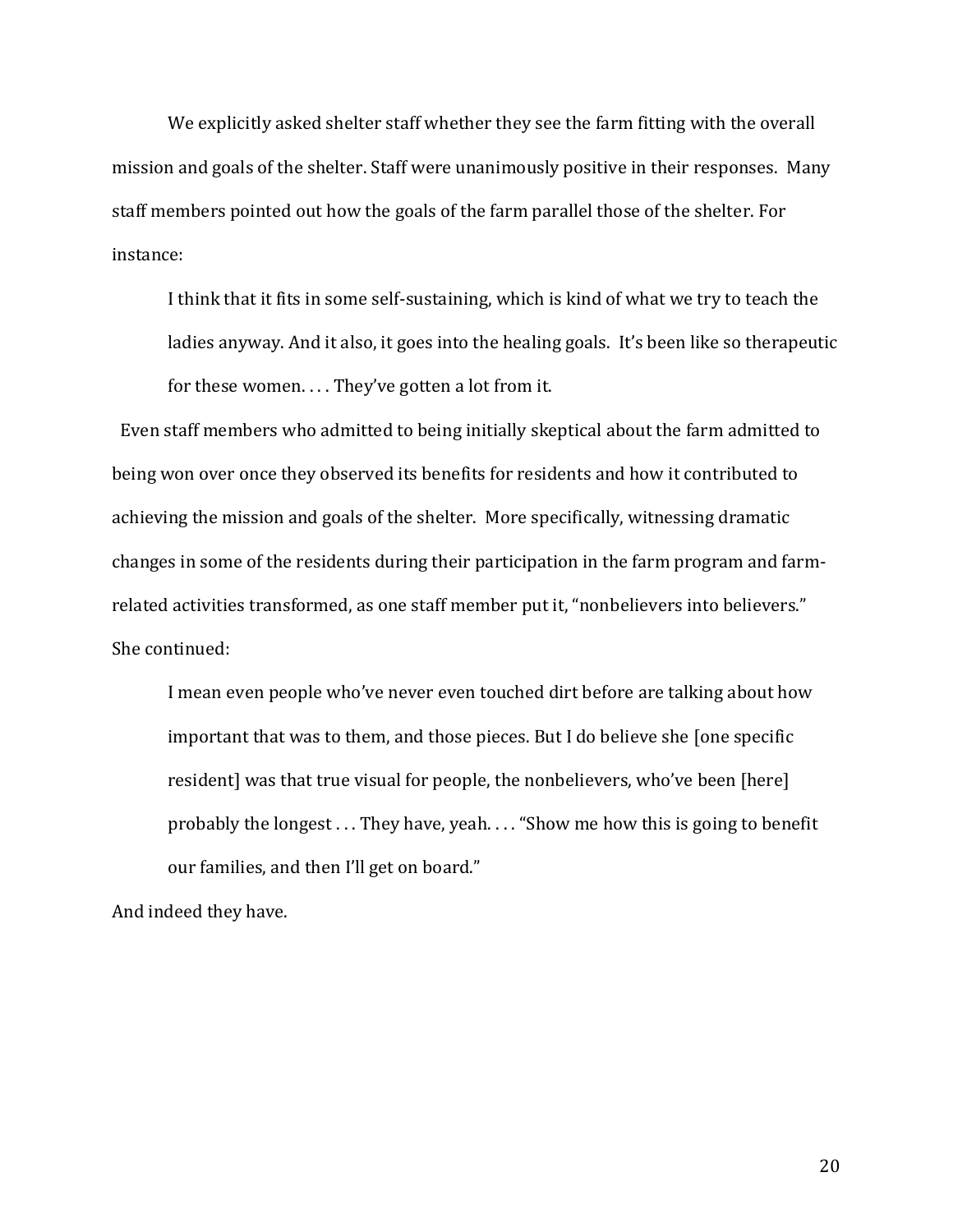We explicitly asked shelter staff whether they see the farm fitting with the overall mission and goals of the shelter. Staff were unanimously positive in their responses. Many staff members pointed out how the goals of the farm parallel those of the shelter. For instance:

I think that it fits in some self-sustaining, which is kind of what we try to teach the ladies anyway. And it also, it goes into the healing goals. It's been like so therapeutic for these women.... They've gotten a lot from it.

 Even staff members who admitted to being initially skeptical about the farm admitted to being won over once they observed its benefits for residents and how it contributed to achieving the mission and goals of the shelter. More specifically, witnessing dramatic changes in some of the residents during their participation in the farm program and farmrelated activities transformed, as one staff member put it, "nonbelievers into believers." She continued:

I mean even people who've never even touched dirt before are talking about how important that was to them, and those pieces. But I do believe she [one specific resident] was that true visual for people, the nonbelievers, who've been [here] probably the longest . . . They have, yeah. . . . "Show me how this is going to benefit our families, and then I'll get on board."

And indeed they have.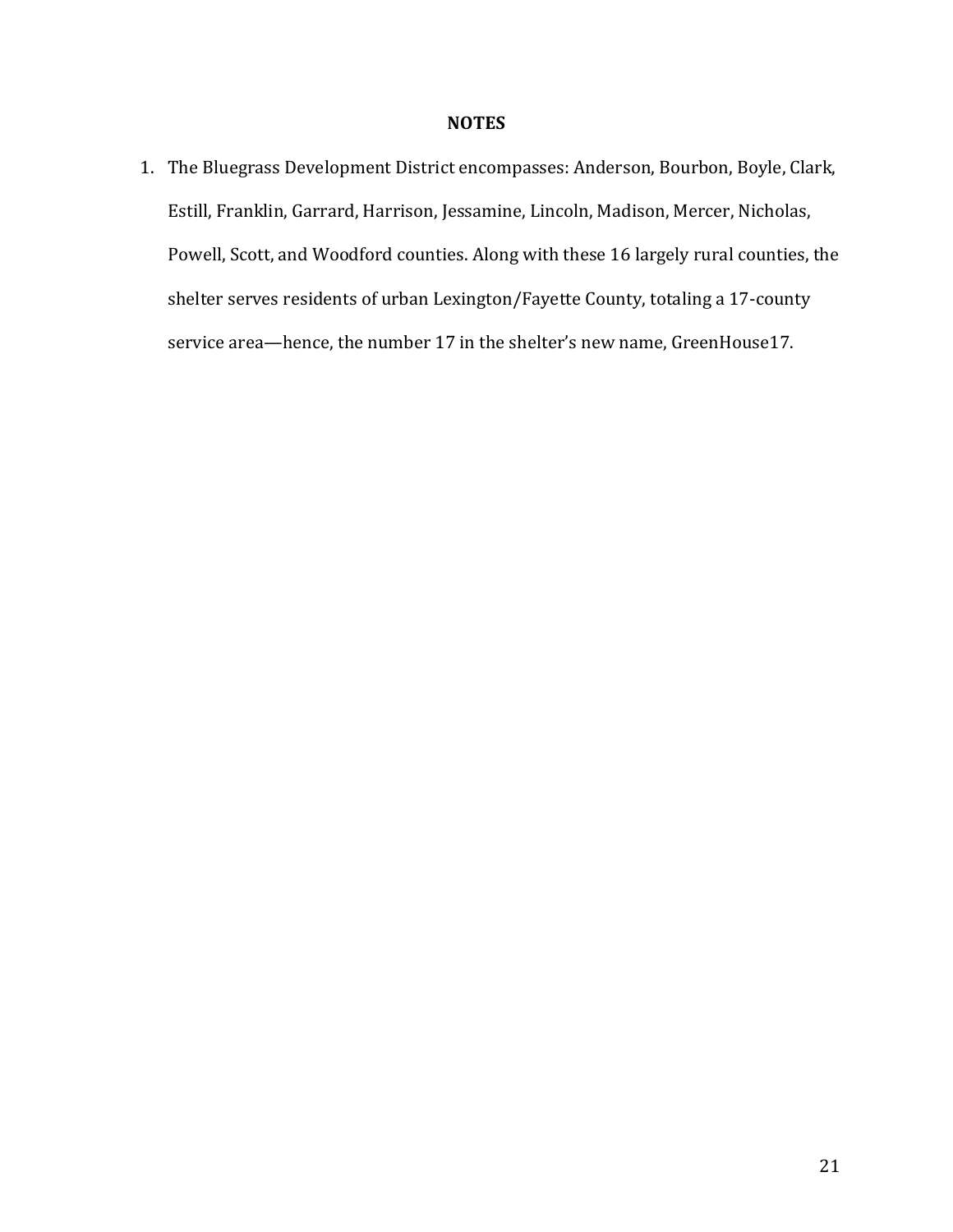## **NOTES**

1. The Bluegrass Development District encompasses: Anderson, Bourbon, Boyle, Clark, Estill, Franklin, Garrard, Harrison, Jessamine, Lincoln, Madison, Mercer, Nicholas, Powell, Scott, and Woodford counties. Along with these 16 largely rural counties, the shelter serves residents of urban Lexington/Fayette County, totaling a 17-county service area—hence, the number 17 in the shelter's new name, GreenHouse17.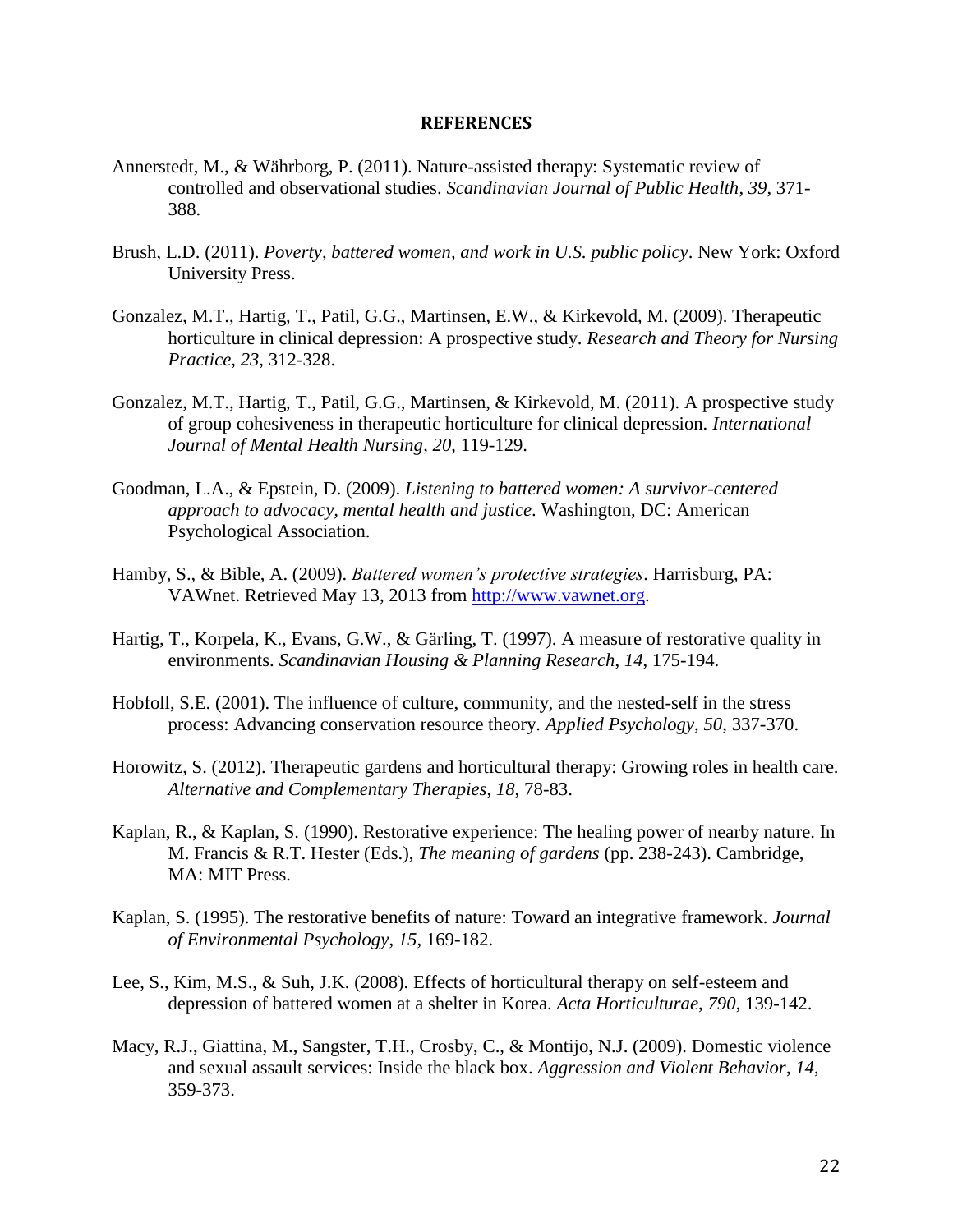#### **REFERENCES**

- Annerstedt, M., & Währborg, P. (2011). Nature-assisted therapy: Systematic review of controlled and observational studies. *Scandinavian Journal of Public Health*, *39*, 371- 388.
- Brush, L.D. (2011). *Poverty, battered women, and work in U.S. public policy*. New York: Oxford University Press.
- Gonzalez, M.T., Hartig, T., Patil, G.G., Martinsen, E.W., & Kirkevold, M. (2009). Therapeutic horticulture in clinical depression: A prospective study. *Research and Theory for Nursing Practice*, *23*, 312-328.
- Gonzalez, M.T., Hartig, T., Patil, G.G., Martinsen, & Kirkevold, M. (2011). A prospective study of group cohesiveness in therapeutic horticulture for clinical depression. *International Journal of Mental Health Nursing*, *20*, 119-129.
- Goodman, L.A., & Epstein, D. (2009). *Listening to battered women: A survivor-centered approach to advocacy, mental health and justice*. Washington, DC: American Psychological Association.
- Hamby, S., & Bible, A. (2009). *Battered women's protective strategies*. Harrisburg, PA: VAWnet. Retrieved May 13, 2013 from [http://www.vawnet.org.](http://www.vawnet.org/)
- Hartig, T., Korpela, K., Evans, G.W., & Gärling, T. (1997). A measure of restorative quality in environments. *Scandinavian Housing & Planning Research*, *14*, 175-194.
- Hobfoll, S.E. (2001). The influence of culture, community, and the nested-self in the stress process: Advancing conservation resource theory. *Applied Psychology*, *50*, 337-370.
- Horowitz, S. (2012). Therapeutic gardens and horticultural therapy: Growing roles in health care. *Alternative and Complementary Therapies*, *18*, 78-83.
- Kaplan, R., & Kaplan, S. (1990). Restorative experience: The healing power of nearby nature. In M. Francis & R.T. Hester (Eds.), *The meaning of gardens* (pp. 238-243). Cambridge, MA: MIT Press.
- Kaplan, S. (1995). The restorative benefits of nature: Toward an integrative framework. *Journal of Environmental Psychology*, *15*, 169-182.
- Lee, S., Kim, M.S., & Suh, J.K. (2008). Effects of horticultural therapy on self-esteem and depression of battered women at a shelter in Korea. *Acta Horticulturae*, *790*, 139-142.
- Macy, R.J., Giattina, M., Sangster, T.H., Crosby, C., & Montijo, N.J. (2009). Domestic violence and sexual assault services: Inside the black box. *Aggression and Violent Behavior*, *14*, 359-373.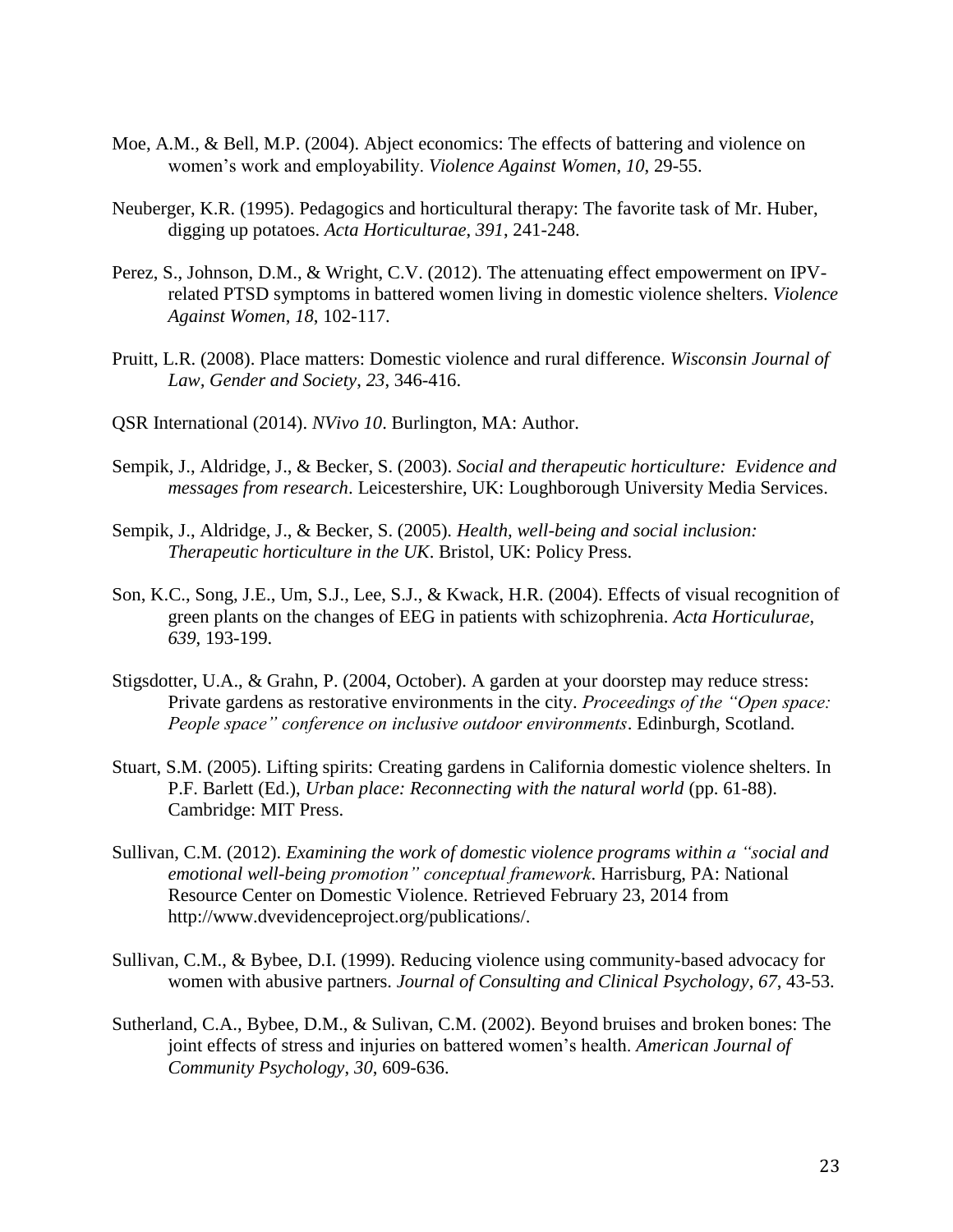- Moe, A.M., & Bell, M.P. (2004). Abject economics: The effects of battering and violence on women's work and employability. *Violence Against Women*, *10*, 29-55.
- Neuberger, K.R. (1995). Pedagogics and horticultural therapy: The favorite task of Mr. Huber, digging up potatoes. *Acta Horticulturae*, *391*, 241-248.
- Perez, S., Johnson, D.M., & Wright, C.V. (2012). The attenuating effect empowerment on IPVrelated PTSD symptoms in battered women living in domestic violence shelters. *Violence Against Women*, *18*, 102-117.
- Pruitt, L.R. (2008). Place matters: Domestic violence and rural difference. *Wisconsin Journal of Law, Gender and Society*, *23*, 346-416.
- QSR International (2014). *NVivo 10*. Burlington, MA: Author.
- Sempik, J., Aldridge, J., & Becker, S. (2003). *Social and therapeutic horticulture: Evidence and messages from research*. Leicestershire, UK: Loughborough University Media Services.
- Sempik, J., Aldridge, J., & Becker, S. (2005). *Health, well-being and social inclusion: Therapeutic horticulture in the UK*. Bristol, UK: Policy Press.
- Son, K.C., Song, J.E., Um, S.J., Lee, S.J., & Kwack, H.R. (2004). Effects of visual recognition of green plants on the changes of EEG in patients with schizophrenia. *Acta Horticulurae*, *639*, 193-199.
- Stigsdotter, U.A., & Grahn, P. (2004, October). A garden at your doorstep may reduce stress: Private gardens as restorative environments in the city. *Proceedings of the "Open space: People space" conference on inclusive outdoor environments*. Edinburgh, Scotland.
- Stuart, S.M. (2005). Lifting spirits: Creating gardens in California domestic violence shelters. In P.F. Barlett (Ed.), *Urban place: Reconnecting with the natural world* (pp. 61-88). Cambridge: MIT Press.
- Sullivan, C.M. (2012). *Examining the work of domestic violence programs within a "social and emotional well-being promotion" conceptual framework*. Harrisburg, PA: National Resource Center on Domestic Violence. Retrieved February 23, 2014 from http://www.dvevidenceproject.org/publications/.
- Sullivan, C.M., & Bybee, D.I. (1999). Reducing violence using community-based advocacy for women with abusive partners. *Journal of Consulting and Clinical Psychology*, *67*, 43-53.
- Sutherland, C.A., Bybee, D.M., & Sulivan, C.M. (2002). Beyond bruises and broken bones: The joint effects of stress and injuries on battered women's health. *American Journal of Community Psychology*, *30*, 609-636.